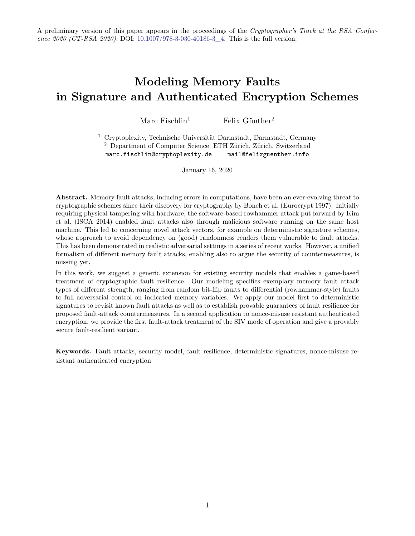A preliminary version of this paper appears in the proceedings of the *Cryptographer's Track at the RSA Conference 2020 (CT-RSA 2020)*, DOI: [10.1007/978-3-030-40186-3\\_4.](https://doi.org/10.1007/978-3-030-40186-3_4) This is the full version.

# **Modeling Memory Faults in Signature and Authenticated Encryption Schemes**

Marc Fischlin<sup>1</sup> Felix Günther<sup>2</sup>

<sup>1</sup> Cryptoplexity, Technische Universität Darmstadt, Darmstadt, Germany <sup>2</sup> Department of Computer Science, ETH Zürich, Zürich, Switzerland marc.fischlin@cryptoplexity.de mail@felixguenther.info

January 16, 2020

**Abstract.** Memory fault attacks, inducing errors in computations, have been an ever-evolving threat to cryptographic schemes since their discovery for cryptography by Boneh et al. (Eurocrypt 1997). Initially requiring physical tampering with hardware, the software-based rowhammer attack put forward by Kim et al. (ISCA 2014) enabled fault attacks also through malicious software running on the same host machine. This led to concerning novel attack vectors, for example on deterministic signature schemes, whose approach to avoid dependency on (good) randomness renders them vulnerable to fault attacks. This has been demonstrated in realistic adversarial settings in a series of recent works. However, a unified formalism of different memory fault attacks, enabling also to argue the security of countermeasures, is missing yet.

In this work, we suggest a generic extension for existing security models that enables a game-based treatment of cryptographic fault resilience. Our modeling specifies exemplary memory fault attack types of different strength, ranging from random bit-flip faults to differential (rowhammer-style) faults to full adversarial control on indicated memory variables. We apply our model first to deterministic signatures to revisit known fault attacks as well as to establish provable guarantees of fault resilience for proposed fault-attack countermeasures. In a second application to nonce-misuse resistant authenticated encryption, we provide the first fault-attack treatment of the SIV mode of operation and give a provably secure fault-resilient variant.

**Keywords.** Fault attacks, security model, fault resilience, deterministic signatures, nonce-misuse resistant authenticated encryption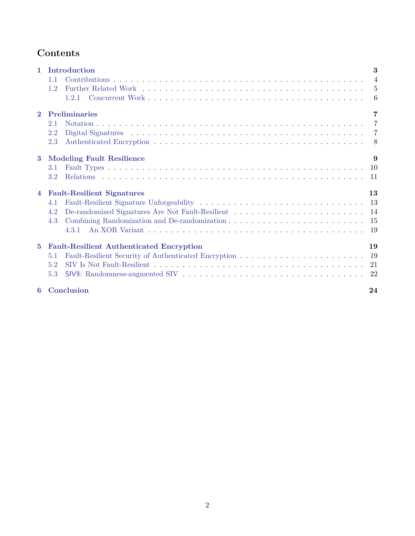# **Contents**

| 1.             | Introduction                                    | 3              |
|----------------|-------------------------------------------------|----------------|
|                | 1.1                                             | $\overline{4}$ |
|                | 1.2                                             | -5             |
|                | 1.2.1                                           | 6              |
| $\bf{2}$       | <b>Preliminaries</b>                            | 7              |
|                | 2.1                                             | $\overline{7}$ |
|                | 2.2                                             | 7              |
|                | 2.3                                             | 8              |
| $\bf{3}$       | <b>Modeling Fault Resilience</b>                | 9              |
|                | 3.1                                             | 10             |
|                | 3.2                                             | -11            |
| 4              | <b>Fault-Resilient Signatures</b>               | 13             |
|                | 4.1                                             | 13             |
|                | 4.2                                             | -14            |
|                | 4.3                                             | -15            |
|                | 4.3.1                                           | 19             |
| $\overline{5}$ | <b>Fault-Resilient Authenticated Encryption</b> | 19             |
|                | 5.1                                             | 19             |
|                | 5.2                                             | 21             |
|                | 5.3                                             | 22             |
| 6              | Conclusion                                      | 24             |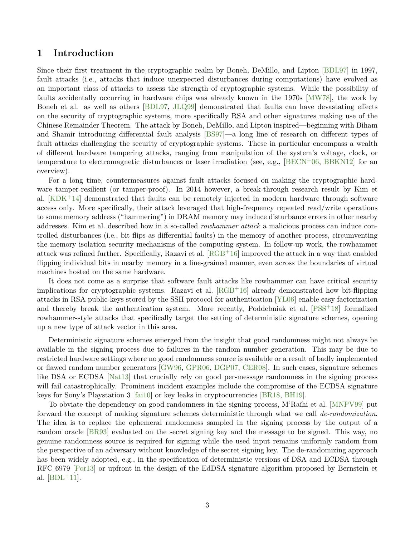## <span id="page-2-1"></span><span id="page-2-0"></span>**1 Introduction**

Since their first treatment in the cryptographic realm by Boneh, DeMillo, and Lipton [\[BDL97\]](#page-24-0) in 1997, fault attacks (i.e., attacks that induce unexpected disturbances during computations) have evolved as an important class of attacks to assess the strength of cryptographic systems. While the possibility of faults accidentally occurring in hardware chips was already known in the 1970s [\[MW78\]](#page-28-0), the work by Boneh et al. as well as others [\[BDL97,](#page-24-0) [JLQ99\]](#page-27-0) demonstrated that faults can have devastating effects on the security of cryptographic systems, more specifically RSA and other signatures making use of the Chinese Remainder Theorem. The attack by Boneh, DeMillo, and Lipton inspired—beginning with Biham and Shamir introducing differential fault analysis [\[BS97\]](#page-26-0)—a long line of research on different types of fault attacks challenging the security of cryptographic systems. These in particular encompass a wealth of different hardware tampering attacks, ranging from manipulation of the system's voltage, clock, or temperature to electromagnetic disturbances or laser irradiation (see, e.g.,  $[BECN<sup>+</sup>06, BBKN12]$  $[BECN<sup>+</sup>06, BBKN12]$  $[BECN<sup>+</sup>06, BBKN12]$  for an overview).

For a long time, countermeasures against fault attacks focused on making the cryptographic hardware tamper-resilient (or tamper-proof). In 2014 however, a break-through research result by Kim et al. [\[KDK](#page-27-1)+14] demonstrated that faults can be remotely injected in modern hardware through software access only. More specifically, their attack leveraged that high-frequency repeated read/write operations to some memory address ("hammering") in DRAM memory may induce disturbance errors in other nearby addresses. Kim et al. described how in a so-called *rowhammer attack* a malicious process can induce controlled disturbances (i.e., bit flips as differential faults) in the memory of another process, circumventing the memory isolation security mechanisms of the computing system. In follow-up work, the rowhammer attack was refined further. Specifically, Razavi et al.  $[RGB<sup>+</sup>16]$  $[RGB<sup>+</sup>16]$  improved the attack in a way that enabled flipping individual bits in nearby memory in a fine-grained manner, even across the boundaries of virtual machines hosted on the same hardware.

It does not come as a surprise that software fault attacks like rowhammer can have critical security implications for cryptographic systems. Razavi et al.  $[RGB<sup>+</sup>16]$  $[RGB<sup>+</sup>16]$  already demonstrated how bit-flipping attacks in RSA public-keys stored by the SSH protocol for authentication [\[YL06\]](#page-29-0) enable easy factorization and thereby break the authentication system. More recently, Poddebniak et al.  $[PSS<sup>+</sup>18]$  $[PSS<sup>+</sup>18]$  formalized rowhammer-style attacks that specifically target the setting of deterministic signature schemes, opening up a new type of attack vector in this area.

Deterministic signature schemes emerged from the insight that good randomness might not always be available in the signing process due to failures in the random number generation. This may be due to restricted hardware settings where no good randomness source is available or a result of badly implemented or flawed random number generators [\[GW96,](#page-27-2) [GPR06,](#page-27-3) [DGP07,](#page-26-1) [CER08\]](#page-26-2). In such cases, signature schemes like DSA or ECDSA [\[Nat13\]](#page-28-3) that crucially rely on good per-message randomness in the signing process will fail catastrophically. Prominent incident examples include the compromise of the ECDSA signature keys for Sony's Playstation 3 [\[fai10\]](#page-26-3) or key leaks in cryptocurrencies [\[BR18,](#page-26-4) [BH19\]](#page-25-1).

To obviate the dependency on good randomness in the signing process, M'Raïhi et al. [\[MNPV99\]](#page-27-4) put forward the concept of making signature schemes deterministic through what we call *de-randomization*. The idea is to replace the ephemeral randomness sampled in the signing process by the output of a random oracle [\[BR93\]](#page-26-5) evaluated on the secret signing key and the message to be signed. This way, no genuine randomness source is required for signing while the used input remains uniformly random from the perspective of an adversary without knowledge of the secret signing key. The de-randomizing approach has been widely adopted, e.g., in the specification of deterministic versions of DSA and ECDSA through RFC 6979 [\[Por13\]](#page-28-4) or upfront in the design of the EdDSA signature algorithm proposed by Bernstein et al.  $[BDL+11]$  $[BDL+11]$ .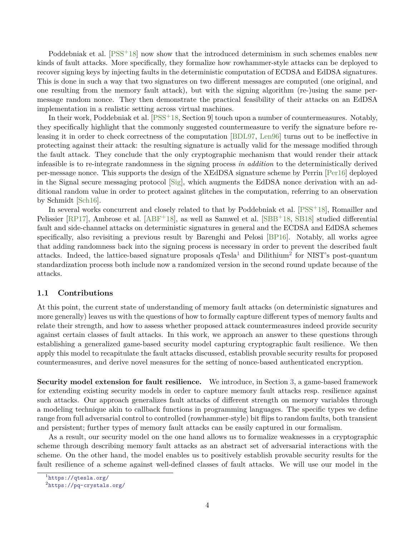<span id="page-3-3"></span>Poddebniak et al.  $[PSS+18]$  $[PSS+18]$  now show that the introduced determinism in such schemes enables new kinds of fault attacks. More specifically, they formalize how rowhammer-style attacks can be deployed to recover signing keys by injecting faults in the deterministic computation of ECDSA and EdDSA signatures. This is done in such a way that two signatures on two different messages are computed (one original, and one resulting from the memory fault attack), but with the signing algorithm (re-)using the same permessage random nonce. They then demonstrate the practical feasibility of their attacks on an EdDSA implementation in a realistic setting across virtual machines.

In their work, Poddebniak et al. [\[PSS](#page-28-2)<sup>+</sup>18, Section 9] touch upon a number of countermeasures. Notably, they specifically highlight that the commonly suggested countermeasure to verify the signature before releasing it in order to check correctness of the computation [\[BDL97,](#page-24-0) [Len96\]](#page-27-5) turns out to be ineffective in protecting against their attack: the resulting signature is actually valid for the message modified through the fault attack. They conclude that the only cryptographic mechanism that would render their attack infeasible is to re-integrate randomness in the signing process *in addition* to the deterministically derived per-message nonce. This supports the design of the XEdDSA signature scheme by Perrin [\[Per16\]](#page-28-5) deployed in the Signal secure messaging protocol [\[Sig\]](#page-29-1), which augments the EdDSA nonce derivation with an additional random value in order to protect against glitches in the computation, referring to an observation by Schmidt [\[Sch16\]](#page-29-2).

In several works concurrent and closely related to that by Poddebniak et al. [\[PSS](#page-28-2)<sup>+18]</sup>, Romailler and Pelissier [\[RP17\]](#page-28-6), Ambrose et al. [\[ABF](#page-24-2)+18], as well as Samwel et al. [\[SBB](#page-29-3)+18, [SB18\]](#page-29-4) studied differential fault and side-channel attacks on deterministic signatures in general and the ECDSA and EdDSA schemes specifically, also revisiting a previous result by Barenghi and Pelosi [\[BP16\]](#page-25-3). Notably, all works agree that adding randomness back into the signing process is necessary in order to prevent the described fault attacks. Indeed, the lattice-based signature proposals  $qTesta<sup>1</sup>$  $qTesta<sup>1</sup>$  $qTesta<sup>1</sup>$  and Dilithium<sup>[2](#page-3-2)</sup> for NIST's post-quantum standardization process both include now a randomized version in the second round update because of the attacks.

### <span id="page-3-0"></span>**1.1 Contributions**

At this point, the current state of understanding of memory fault attacks (on deterministic signatures and more generally) leaves us with the questions of how to formally capture different types of memory faults and relate their strength, and how to assess whether proposed attack countermeasures indeed provide security against certain classes of fault attacks. In this work, we approach an answer to these questions through establishing a generalized game-based security model capturing cryptographic fault resilience. We then apply this model to recapitulate the fault attacks discussed, establish provable security results for proposed countermeasures, and derive novel measures for the setting of nonce-based authenticated encryption.

**Security model extension for fault resilience.** We introduce, in Section [3,](#page-8-0) a game-based framework for extending existing security models in order to capture memory fault attacks resp. resilience against such attacks. Our approach generalizes fault attacks of different strength on memory variables through a modeling technique akin to callback functions in programming languages. The specific types we define range from full adversarial control to controlled (rowhammer-style) bit flips to random faults, both transient and persistent; further types of memory fault attacks can be easily captured in our formalism.

As a result, our security model on the one hand allows us to formalize weaknesses in a cryptographic scheme through describing memory fault attacks as an abstract set of adversarial interactions with the scheme. On the other hand, the model enables us to positively establish provable security results for the fault resilience of a scheme against well-defined classes of fault attacks. We will use our model in the

<span id="page-3-1"></span><sup>1</sup> <https://qtesla.org/>

<span id="page-3-2"></span> $^2$ <https://pq-crystals.org/>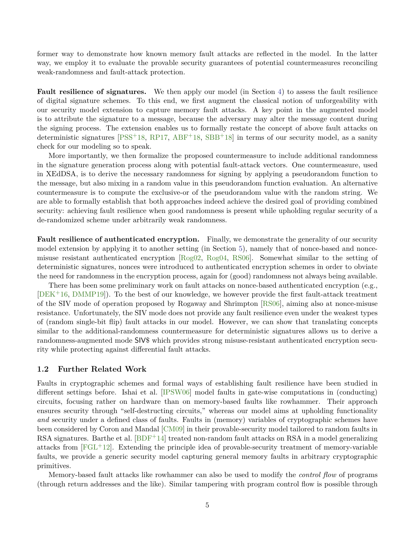<span id="page-4-1"></span>former way to demonstrate how known memory fault attacks are reflected in the model. In the latter way, we employ it to evaluate the provable security guarantees of potential countermeasures reconciling weak-randomness and fault-attack protection.

**Fault resilience of signatures.** We then apply our model (in Section [4\)](#page-12-0) to assess the fault resilience of digital signature schemes. To this end, we first augment the classical notion of unforgeability with our security model extension to capture memory fault attacks. A key point in the augmented model is to attribute the signature to a message, because the adversary may alter the message content during the signing process. The extension enables us to formally restate the concept of above fault attacks on deterministic signatures  $[PSS^+18, RPI7, ABF^+18, SBB^+18]$  $[PSS^+18, RPI7, ABF^+18, SBB^+18]$  $[PSS^+18, RPI7, ABF^+18, SBB^+18]$  $[PSS^+18, RPI7, ABF^+18, SBB^+18]$  $[PSS^+18, RPI7, ABF^+18, SBB^+18]$  $[PSS^+18, RPI7, ABF^+18, SBB^+18]$  in terms of our security model, as a sanity check for our modeling so to speak.

More importantly, we then formalize the proposed countermeasure to include additional randomness in the signature generation process along with potential fault-attack vectors. One countermeasure, used in XEdDSA, is to derive the necessary randomness for signing by applying a pseudorandom function to the message, but also mixing in a random value in this pseudorandom function evaluation. An alternative countermeasure is to compute the exclusive-or of the pseudorandom value with the random string. We are able to formally establish that both approaches indeed achieve the desired goal of providing combined security: achieving fault resilience when good randomness is present while upholding regular security of a de-randomized scheme under arbitrarily weak randomness.

**Fault resilience of authenticated encryption.** Finally, we demonstrate the generality of our security model extension by applying it to another setting (in Section [5\)](#page-18-1), namely that of nonce-based and noncemisuse resistant authenticated encryption [\[Rog02,](#page-28-7) [Rog04,](#page-28-8) [RS06\]](#page-28-9). Somewhat similar to the setting of deterministic signatures, nonces were introduced to authenticated encryption schemes in order to obviate the need for randomness in the encryption process, again for (good) randomness not always being available.

There has been some preliminary work on fault attacks on nonce-based authenticated encryption (e.g.,  $[DEK^+16, DMMP19]$  $[DEK^+16, DMMP19]$  $[DEK^+16, DMMP19]$ . To the best of our knowledge, we however provide the first fault-attack treatment of the SIV mode of operation proposed by Rogaway and Shrimpton [\[RS06\]](#page-28-9), aiming also at nonce-misuse resistance. Unfortunately, the SIV mode does not provide any fault resilience even under the weakest types of (random single-bit flip) fault attacks in our model. However, we can show that translating concepts similar to the additional-randomness countermeasure for deterministic signatures allows us to derive a randomness-augmented mode SIV\$ which provides strong misuse-resistant authenticated encryption security while protecting against differential fault attacks.

#### <span id="page-4-0"></span>**1.2 Further Related Work**

Faults in cryptographic schemes and formal ways of establishing fault resilience have been studied in different settings before. Ishai et al. [\[IPSW06\]](#page-27-6) model faults in gate-wise computations in (conducting) circuits, focusing rather on hardware than on memory-based faults like rowhammer. Their approach ensures security through "self-destructing circuits," whereas our model aims at upholding functionality *and* security under a defined class of faults. Faults in (memory) variables of cryptographic schemes have been considered by Coron and Mandal [\[CM09\]](#page-26-8) in their provable-security model tailored to random faults in RSA signatures. Barthe et al.  $[BDF+14]$  $[BDF+14]$  treated non-random fault attacks on RSA in a model generalizing attacks from  $[FGL^+12]$  $[FGL^+12]$ . Extending the principle idea of provable-security treatment of memory-variable faults, we provide a generic security model capturing general memory faults in arbitrary cryptographic primitives.

Memory-based fault attacks like rowhammer can also be used to modify the *control flow* of programs (through return addresses and the like). Similar tampering with program control flow is possible through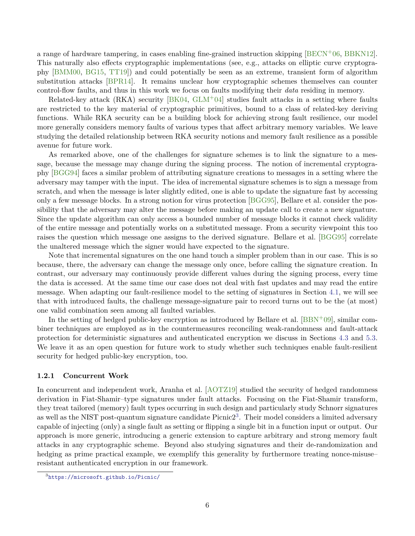<span id="page-5-2"></span>a range of hardware tampering, in cases enabling fine-grained instruction skipping [\[BECN](#page-25-0)+06, [BBKN12\]](#page-24-1). This naturally also effects cryptographic implementations (see, e.g., attacks on elliptic curve cryptography [\[BMM00,](#page-25-4) [BG15,](#page-25-5) [TT19\]](#page-29-5)) and could potentially be seen as an extreme, transient form of algorithm substitution attacks [\[BPR14\]](#page-25-6). It remains unclear how cryptographic schemes themselves can counter control-flow faults, and thus in this work we focus on faults modifying their *data* residing in memory.

Related-key attack  $(RKA)$  security  $[BK04, GLM^+04]$  $[BK04, GLM^+04]$  $[BK04, GLM^+04]$  $[BK04, GLM^+04]$  studies fault attacks in a setting where faults are restricted to the key material of cryptographic primitives, bound to a class of related-key deriving functions. While RKA security can be a building block for achieving strong fault resilience, our model more generally considers memory faults of various types that affect arbitrary memory variables. We leave studying the detailed relationship between RKA security notions and memory fault resilience as a possible avenue for future work.

As remarked above, one of the challenges for signature schemes is to link the signature to a message, because the message may change during the signing process. The notion of incremental cryptography [\[BGG94\]](#page-25-8) faces a similar problem of attributing signature creations to messages in a setting where the adversary may tamper with the input. The idea of incremental signature schemes is to sign a message from scratch, and when the message is later slightly edited, one is able to update the signature fast by accessing only a few message blocks. In a strong notion for virus protection [\[BGG95\]](#page-25-9), Bellare et al. consider the possibility that the adversary may alter the message before making an update call to create a new signature. Since the update algorithm can only access a bounded number of message blocks it cannot check validity of the entire message and potentially works on a substituted message. From a security viewpoint this too raises the question which message one assigns to the derived signature. Bellare et al. [\[BGG95\]](#page-25-9) correlate the unaltered message which the signer would have expected to the signature.

Note that incremental signatures on the one hand touch a simpler problem than in our case. This is so because, there, the adversary can change the message only once, before calling the signature creation. In contrast, our adversary may continuously provide different values during the signing process, every time the data is accessed. At the same time our case does not deal with fast updates and may read the entire message. When adapting our fault-resilience model to the setting of signatures in Section [4.1,](#page-12-1) we will see that with introduced faults, the challenge message-signature pair to record turns out to be the (at most) one valid combination seen among all faulted variables.

In the setting of hedged public-key encryption as introduced by Bellare et al.  $[BBN+09]$  $[BBN+09]$ , similar combiner techniques are employed as in the countermeasures reconciling weak-randomness and fault-attack protection for deterministic signatures and authenticated encryption we discuss in Sections [4.3](#page-14-0) and [5.3.](#page-21-0) We leave it as an open question for future work to study whether such techniques enable fault-resilient security for hedged public-key encryption, too.

### <span id="page-5-0"></span>**1.2.1 Concurrent Work**

In concurrent and independent work, Aranha et al. [\[AOTZ19\]](#page-24-5) studied the security of hedged randomness derivation in Fiat-Shamir–type signatures under fault attacks. Focusing on the Fiat-Shamir transform, they treat tailored (memory) fault types occurring in such design and particularly study Schnorr signatures as well as the NIST post-quantum signature candidate Picnic $2<sup>3</sup>$  $2<sup>3</sup>$  $2<sup>3</sup>$ . Their model considers a limited adversary capable of injecting (only) a single fault as setting or flipping a single bit in a function input or output. Our approach is more generic, introducing a generic extension to capture arbitrary and strong memory fault attacks in any cryptographic scheme. Beyond also studying signatures and their de-randomization and hedging as prime practical example, we exemplify this generality by furthermore treating nonce-misuse– resistant authenticated encryption in our framework.

<span id="page-5-1"></span><sup>3</sup> <https://microsoft.github.io/Picnic/>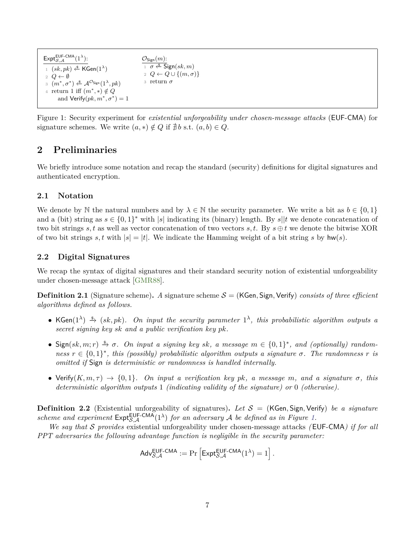```
\mathsf{Expt}_{\mathcal{S},\mathcal{A}}^{\mathsf{EUF-CMA}}(1^{\lambda}):
 1 (sk, pk) ← KGen(1<sup>\lambda</sup>)
2 Q \leftarrow \emptyset_3 (m^*, \sigma^*) \xleftarrow{\$} \mathcal{A}^{\mathcal{O}_{\mathsf{Sign}}}(1^{\lambda}, pk)4 return 1 iff (m^*,*) \notin Qand Verify(pk, m^*, \sigma^*) = 1\mathcal{O}_{\mathsf{Sign}}(m):
                                                                        1 σ ←−$ Sign(sk, m)
                                                                         2 Q ← Q ∪ {(m, σ)}
                                                                         3 return σ
```
Figure 1: Security experiment for *existential unforgeability under chosen-message attacks* (EUF-CMA) for signature schemes. We write  $(a, *) \notin Q$  if  $\exists b$  s.t.  $(a, b) \in Q$ .

## <span id="page-6-0"></span>**2 Preliminaries**

We briefly introduce some notation and recap the standard (security) definitions for digital signatures and authenticated encryption.

## <span id="page-6-1"></span>**2.1 Notation**

We denote by N the natural numbers and by  $\lambda \in \mathbb{N}$  the security parameter. We write a bit as  $b \in \{0,1\}$ and a (bit) string as  $s \in \{0,1\}^*$  with |s| indicating its (binary) length. By  $s||t$  we denote concatenation of two bit strings *s*, t as well as vector concatenation of two vectors *s*, t. By  $s \oplus t$  we denote the bitwise XOR of two bit strings  $s, t$  with  $|s| = |t|$ . We indicate the Hamming weight of a bit string  $s$  by  $hw(s)$ .

## <span id="page-6-2"></span>**2.2 Digital Signatures**

We recap the syntax of digital signatures and their standard security notion of existential unforgeability under chosen-message attack [\[GMR88\]](#page-27-9).

**Definition 2.1** (Signature scheme). A signature scheme  $S = (KGen, Sign, Verify)$  *consists of three efficient algorithms defined as follows.*

- KGen( $1^{\lambda}$ )  $\rightarrow$  (*sk, pk*). On input the security parameter  $1^{\lambda}$ , this probabilistic algorithm outputs a *secret signing key sk and a public verification key pk.*
- Sign(sk, m; r)  $\stackrel{\$}{\rightarrow} \sigma$ . On input a signing key sk, a message  $m \in \{0,1\}^*$ , and (optionally) random $ness \ r \in \{0,1\}^*$ , this (possibly) probabilistic algorithm outputs a signature  $\sigma$ . The randomness  $r$  is *omitted if* Sign *is deterministic or randomness is handled internally.*
- Verify $(K, m, \tau) \rightarrow \{0, 1\}$ . On input a verification key pk, a message m, and a signature  $\sigma$ , this *deterministic algorithm outputs* 1 *(indicating validity of the signature) or* 0 *(otherwise).*

**Definition 2.2** (Existential unforgeability of signatures). Let  $S = (KGen, Sign, Verify)$  be a signature scheme and experiment  $\text{Expt}_{S,\mathcal{A}}^{\text{EUF-CMA}}(1^{\lambda})$  *for an adversary* A *be defined as in Figure [1.](#page-6-3)* 

*We say that* S *provides* existential unforgeability under chosen-message attacks *(*EUF-CMA*) if for all PPT adversaries the following advantage function is negligible in the security parameter:*

$$
\mathsf{Adv}^{\mathsf{EUF-CMA}}_{\mathcal{S},\mathcal{A}} := \Pr\left[\mathsf{Expt}^{\mathsf{EUF-CMA}}_{\mathcal{S},\mathcal{A}}(1^\lambda) = 1\right].
$$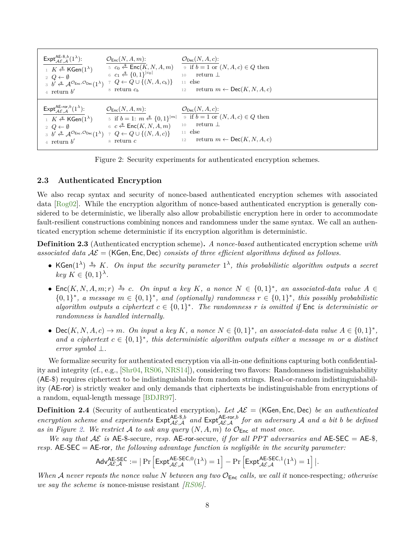<span id="page-7-3"></span><span id="page-7-1"></span>

| $\mathsf{Expt}_{\mathcal{A}\mathcal{E}}^{\mathsf{AE-\$},b}(1^{\lambda})$ :<br>$\pm K \stackrel{\$}{\leftarrow}$ KGen $(1^{\lambda})$<br>2 $Q \leftarrow \emptyset$<br>4 return $b'$    | $\mathcal{O}_{\mathsf{Enc}}(N, A, m)$ :<br>$5\,c_0 \xleftarrow{\$} \text{Enc}(K, N, A, m)$<br>6 $c_1 \xleftarrow{\$} \{0,1\}^{ c_0 }$<br>$\begin{array}{cccccc} & 3 & b' \xleftarrow{\$} & \mathcal{A}^{\mathcal{O}_{\mathsf{Enc}}, \mathcal{O}_{\mathsf{Dec}}}(1^{\lambda}) & \text{and} & Q \leftarrow Q \cup \{(N, A, c_b)\} \end{array}$<br>$\frac{1}{2}$ return $cb$ | $\mathcal{O}_{\mathsf{Dec}}(N, A, c)$ :<br>$\varphi$ if $b = 1$ or $(N, A, c) \in Q$ then<br>return $\perp$<br>10 <sup>1</sup><br>$11$ else<br>return $m \leftarrow \textsf{Dec}(K, N, A, c)$<br>12 |
|----------------------------------------------------------------------------------------------------------------------------------------------------------------------------------------|---------------------------------------------------------------------------------------------------------------------------------------------------------------------------------------------------------------------------------------------------------------------------------------------------------------------------------------------------------------------------|-----------------------------------------------------------------------------------------------------------------------------------------------------------------------------------------------------|
| $\mathsf{Expt}^{\mathsf{AE-ror},b}_{\mathcal{AE},\mathcal{A}}(1^\lambda)$ :<br>$\pm K \stackrel{\$}{\leftarrow}$ KGen $(1^{\lambda})$<br>2 $Q \leftarrow \emptyset$<br>$4$ return $b'$ | $\mathcal{O}_{\mathsf{Enc}}(N, A, m)$ :<br>5 if $b = 1$ : $m \stackrel{\$}{\leftarrow} \{0, 1\}^{ m }$<br>$6 \text{ } c \overset{\$}{\leftarrow} \text{Enc}(K, N, A, m)$<br>3 $b' \stackrel{\$}{\leftarrow} \mathcal{A}^{\mathcal{O}_{\text{Enc}}, \mathcal{O}_{\text{Dec}}}(1^{\lambda})$ 7 $Q \leftarrow Q \cup \{(N, A, c)\}$<br>$\frac{1}{2}$ return c                | $\mathcal{O}_{\mathsf{Dec}}(N, A, c)$ :<br>$\varphi$ if $b = 1$ or $(N, A, c) \in Q$ then<br>return $\perp$<br>10 <sup>1</sup><br>$11$ else<br>return $m \leftarrow \text{Dec}(K, N, A, c)$<br>12   |

Figure 2: Security experiments for authenticated encryption schemes.

#### <span id="page-7-0"></span>**2.3 Authenticated Encryption**

We also recap syntax and security of nonce-based authenticated encryption schemes with associated data [\[Rog02\]](#page-28-7). While the encryption algorithm of nonce-based authenticated encryption is generally considered to be deterministic, we liberally also allow probabilistic encryption here in order to accommodate fault-resilient constructions combining nonces and randomness under the same syntax. We call an authenticated encryption scheme deterministic if its encryption algorithm is deterministic.

**Def inition 2.3** (Authenticated encryption scheme)**.** *A nonce-based* authenticated encryption scheme *with associated data*  $A\mathcal{E} = (KGen, Enc, Dec)$  *consists of three efficient algorithms defined as follows.* 

- **•** KGen( $1^{\lambda}$ )  $\stackrel{\$}{\rightarrow}$  *K.* On input the security parameter  $1^{\lambda}$ , this probabilistic algorithm outputs a secret  $key K \in \{0,1\}^{\lambda}$ .
- Enc $(K, N, A, m; r) \stackrel{\$}{\rightarrow} c$ *. On input a key*  $K$ *, a nonce*  $N \in \{0, 1\}^*$ *, an associated-data value*  $A \in$  $\{0,1\}^*$ , a message  $m \in \{0,1\}^*$ , and (optionally) randomness  $r \in \{0,1\}^*$ , this possibly probabilistic *algorithm outputs a ciphertext*  $c \in \{0,1\}^*$ . The randomness r is omitted if Enc is deterministic or *randomness is handled internally.*
- Dec $(K, N, A, c) \to m$ *. On input a key*  $K$ *, a nonce*  $N \in \{0, 1\}^*$ *, an associated-data value*  $A \in \{0, 1\}^*$ *,* and a ciphertext  $c \in \{0,1\}^*$ , this deterministic algorithm outputs either a message m or a distinct *error symbol* ⊥*.*

We formalize security for authenticated encryption via all-in-one definitions capturing both confidentiality and integrity (cf., e.g., [\[Shr04,](#page-29-6) [RS06,](#page-28-9) [NRS14\]](#page-28-10)), considering two flavors: Randomness indistinguishability (AE-\$) requires ciphertext to be indistinguishable from random strings. Real-or-random indistinguishability (AE-ror) is strictly weaker and only demands that ciphertexts be indistinguishable from encryptions of a random, equal-length message [\[BDJR97\]](#page-24-6).

<span id="page-7-2"></span>**Definition 2.4** (Security of authenticated encryption). Let  $AE = (KGen, Enc, Dec)$  *be an authenticated* encryption scheme and experiments  $\text{Expt}^{\text{AE-S},b}_{\mathcal{A}\mathcal{E},\mathcal{A}}$  and  $\text{Expt}^{\text{AE-ror},b}_{\mathcal{A}\mathcal{E},\mathcal{A}}$  *for an adversary* A and a bit *b* be defined as in Figure [2.](#page-7-1) We restrict A to ask any query  $(N, A, m)$  to  $\mathcal{O}_{\text{Enc}}$  at most once.

*We say that* AE *is* AE-\$-secure*, resp.* AE-ror-secure*, if for all PPT adversaries and* AE-SEC = AE-\$*, resp.* AE-SEC = AE-ror*, the following advantage function is negligible in the security parameter:*

$$
\mathsf{Adv}_{\mathcal{AE},\mathcal{A}}^{\mathsf{AE-SEC}}:=\mid \Pr\left[\mathsf{Expt}_{\mathcal{AE},\mathcal{A}}^{\mathsf{AE-SEC},0}(1^\lambda)=1\right] - \Pr\left[\mathsf{Expt}_{\mathcal{AE},\mathcal{A}}^{\mathsf{AE-SEC},1}(1^\lambda)=1\right]\mid.
$$

*When* A never repeats the nonce value N between any two  $\mathcal{O}_{\text{Enc}}$  calls, we call it nonce-respecting; otherwise *we say the scheme is* nonce-misuse resistant *[\[RS06\]](#page-28-9).*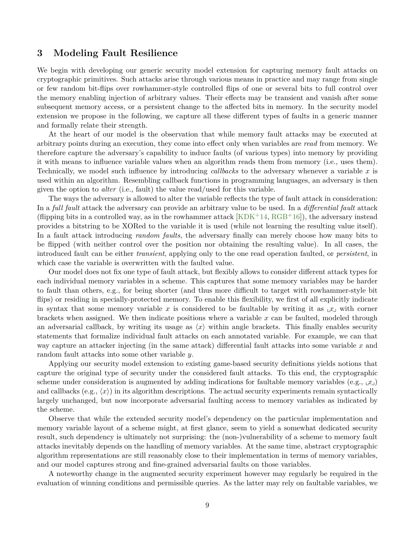## <span id="page-8-1"></span><span id="page-8-0"></span>**3 Modeling Fault Resilience**

We begin with developing our generic security model extension for capturing memory fault attacks on cryptographic primitives. Such attacks arise through various means in practice and may range from single or few random bit-flips over rowhammer-style controlled flips of one or several bits to full control over the memory enabling injection of arbitrary values. Their effects may be transient and vanish after some subsequent memory access, or a persistent change to the affected bits in memory. In the security model extension we propose in the following, we capture all these different types of faults in a generic manner and formally relate their strength.

At the heart of our model is the observation that while memory fault attacks may be executed at arbitrary points during an execution, they come into effect only when variables are *read* from memory. We therefore capture the adversary's capability to induce faults (of various types) into memory by providing it with means to influence variable values when an algorithm reads them from memory (i.e., uses them). Technically, we model such influence by introducing *callbacks* to the adversary whenever a variable *x* is used within an algorithm. Resembling callback functions in programming languages, an adversary is then given the option to *alter* (i.e., fault) the value read/used for this variable.

The ways the adversary is allowed to alter the variable reflects the type of fault attack in consideration: In a *full fault* attack the adversary can provide an arbitrary value to be used. In a *differential fault* attack (flipping bits in a controlled way, as in the rowhammer attack  $[KDK^{+14}, RGB^{+16}]$  $[KDK^{+14}, RGB^{+16}]$  $[KDK^{+14}, RGB^{+16}]$  $[KDK^{+14}, RGB^{+16}]$ ), the adversary instead provides a bitstring to be XORed to the variable it is used (while not learning the resulting value itself). In a fault attack introducing *random faults*, the adversary finally can merely choose how many bits to be flipped (with neither control over the position nor obtaining the resulting value). In all cases, the introduced fault can be either *transient*, applying only to the one read operation faulted, or *persistent*, in which case the variable is overwritten with the faulted value.

Our model does not fix one type of fault attack, but flexibly allows to consider different attack types for each individual memory variables in a scheme. This captures that some memory variables may be harder to fault than others, e.g., for being shorter (and thus more difficult to target with rowhammer-style bit flips) or residing in specially-protected memory. To enable this flexibility, we first of all explicitly indicate in syntax that some memory variable x is considered to be faultable by writing it as  $\mathcal{L}_1$  with corner brackets when assigned. We then indicate positions where a variable *x* can be faulted, modeled through an adversarial callback, by writing its usage as  $\langle x \rangle$  within angle brackets. This finally enables security statements that formalize individual fault attacks on each annotated variable. For example, we can that way capture an attacker injecting (in the same attack) differential fault attacks into some variable *x* and random fault attacks into some other variable *y*.

Applying our security model extension to existing game-based security definitions yields notions that capture the original type of security under the considered fault attacks. To this end, the cryptographic scheme under consideration is augmented by adding indications for faultable memory variables (e.g.,  $(x_i)$ ) and callbacks (e.g.,  $\langle x \rangle$ ) in its algorithm descriptions. The actual security experiments remain syntactically largely unchanged, but now incorporate adversarial faulting access to memory variables as indicated by the scheme.

Observe that while the extended security model's dependency on the particular implementation and memory variable layout of a scheme might, at first glance, seem to yield a somewhat dedicated security result, such dependency is ultimately not surprising: the (non-)vulnerability of a scheme to memory fault attacks inevitably depends on the handling of memory variables. At the same time, abstract cryptographic algorithm representations are still reasonably close to their implementation in terms of memory variables, and our model captures strong and fine-grained adversarial faults on those variables.

A noteworthy change in the augmented security experiment however may regularly be required in the evaluation of winning conditions and permissible queries. As the latter may rely on faultable variables, we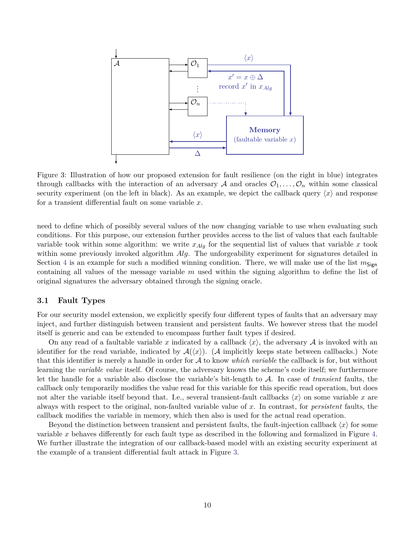<span id="page-9-1"></span>

Figure 3: Illustration of how our proposed extension for fault resilience (on the right in blue) integrates through callbacks with the interaction of an adversary  $A$  and oracles  $\mathcal{O}_1, \ldots, \mathcal{O}_n$  within some classical security experiment (on the left in black). As an example, we depict the callback query  $\langle x \rangle$  and response for a transient differential fault on some variable *x*.

need to define which of possibly several values of the now changing variable to use when evaluating such conditions. For this purpose, our extension further provides access to the list of values that each faultable variable took within some algorithm: we write  $x_{Alg}$  for the sequential list of values that variable  $x$  took within some previously invoked algorithm *Alg*. The unforgeability experiment for signatures detailed in Section [4](#page-12-0) is an example for such a modified winning condition. There, we will make use of the list  $m_{\text{Sign}}$ containing all values of the message variable *m* used within the signing algorithm to define the list of original signatures the adversary obtained through the signing oracle.

#### <span id="page-9-0"></span>**3.1 Fault Types**

For our security model extension, we explicitly specify four different types of faults that an adversary may inject, and further distinguish between transient and persistent faults. We however stress that the model itself is generic and can be extended to encompass further fault types if desired.

On any read of a faultable variable x indicated by a callback  $\langle x \rangle$ , the adversary A is invoked with an identifier for the read variable, indicated by  $\mathcal{A}(\langle x \rangle)$ . (A implicitly keeps state between callbacks.) Note that this identifier is merely a handle in order for A to know *which variable* the callback is for, but without learning the *variable value* itself. Of course, the adversary knows the scheme's code itself; we furthermore let the handle for a variable also disclose the variable's bit-length to A. In case of *transient* faults, the callback only temporarily modifies the value read for this variable for this specific read operation, but does not alter the variable itself beyond that. I.e., several transient-fault callbacks  $\langle x \rangle$  on some variable x are always with respect to the original, non-faulted variable value of *x*. In contrast, for *persistent* faults, the callback modifies the variable in memory, which then also is used for the actual read operation.

Beyond the distinction between transient and persistent faults, the fault-injection callback  $\langle x \rangle$  for some variable *x* behaves differently for each fault type as described in the following and formalized in Figure [4.](#page-10-1) We further illustrate the integration of our callback-based model with an existing security experiment at the example of a transient differential fault attack in Figure [3.](#page-9-1)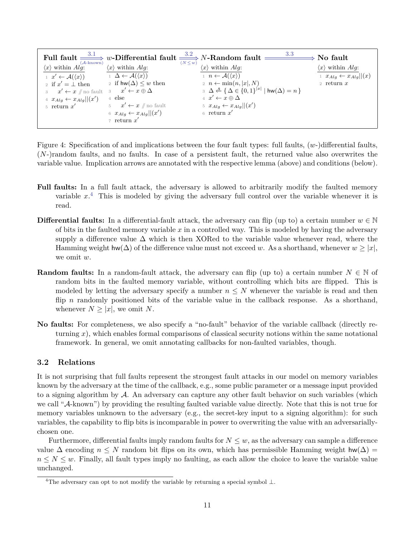<span id="page-10-1"></span>

| Full fault $\frac{3.1}{\sqrt{2}}$<br>$(A-known)$                                | $(N \leq w)$                                         | $\rightarrow w\text{-Differential fault} \stackrel{3.2}{\Longrightarrow} N\text{-Random fault} \stackrel{3.3}{\Longrightarrow}$ | No fault                          |
|---------------------------------------------------------------------------------|------------------------------------------------------|---------------------------------------------------------------------------------------------------------------------------------|-----------------------------------|
| $\langle x \rangle$ within Alg:                                                 | $\langle x \rangle$ within Alg:                      | $\langle x \rangle$ within Alq:                                                                                                 | $\langle x \rangle$ within Alq:   |
| $x' \leftarrow \mathcal{A}(\langle x \rangle)$                                  | $1 \Delta \leftarrow \mathcal{A}(\langle x \rangle)$ | $1 \quad n \leftarrow \mathcal{A}(\langle x \rangle)$                                                                           | $x_{Alg} \leftarrow x_{Alg}  (x)$ |
| 2 if $x' = \perp$ then                                                          | 2 if $hw(\Delta) \leq w$ then                        | $n \leftarrow \min(n,  x , N)$                                                                                                  | $2$ return $x$                    |
| 3 $x' \leftarrow x \text{ } \text{/no fault}$ 3 $x' \leftarrow x \oplus \Delta$ |                                                      | $3\Delta \stackrel{\$}{\leftarrow} \{\Delta \in \{0,1\}^{ x } \mid \text{hw}(\Delta) = n\}$                                     |                                   |
| 4 $x_{Alg} \leftarrow x_{Alg} \mid (x')$                                        | 4 else                                               | 4 $x' \leftarrow x \oplus \Delta$                                                                                               |                                   |
| 5 return $x'$                                                                   | 5 $x' \leftarrow x \text{ } \text{/no fault}$        | 5 $x_{Alg} \leftarrow x_{Alg} \mid (x')$                                                                                        |                                   |
|                                                                                 | 6 $x_{Alg} \leftarrow x_{Alg}    (x')$               | $6$ return $x'$                                                                                                                 |                                   |
|                                                                                 |                                                      |                                                                                                                                 |                                   |
|                                                                                 | 7 return $x'$                                        |                                                                                                                                 |                                   |

Figure 4: Specification of and implications between the four fault types: full faults,  $(w)$ -)differential faults, (*N*-)random faults, and no faults. In case of a persistent fault, the returned value also overwrites the variable value. Implication arrows are annotated with the respective lemma (above) and conditions (below).

- **Full faults:** In a full fault attack, the adversary is allowed to arbitrarily modify the faulted memory variable  $x^4$  $x^4$ . This is modeled by giving the adversary full control over the variable whenever it is read.
- **Differential faults:** In a differential-fault attack, the adversary can flip (up to) a certain number  $w \in \mathbb{N}$ of bits in the faulted memory variable *x* in a controlled way. This is modeled by having the adversary supply a difference value  $\Delta$  which is then XORed to the variable value whenever read, where the Hamming weight  $\mathsf{hw}(\Delta)$  of the difference value must not exceed *w*. As a shorthand, whenever  $w \geq |x|$ , we omit *w*.
- **Random faults:** In a random-fault attack, the adversary can flip (up to) a certain number  $N \in \mathbb{N}$  of random bits in the faulted memory variable, without controlling which bits are flipped. This is modeled by letting the adversary specify a number  $n \leq N$  whenever the variable is read and then flip *n* randomly positioned bits of the variable value in the callback response. As a shorthand, whenever  $N \geq |x|$ , we omit N.
- **No faults:** For completeness, we also specify a "no-fault" behavior of the variable callback (directly returning  $x$ ), which enables formal comparisons of classical security notions within the same notational framework. In general, we omit annotating callbacks for non-faulted variables, though.

## <span id="page-10-0"></span>**3.2 Relations**

It is not surprising that full faults represent the strongest fault attacks in our model on memory variables known by the adversary at the time of the callback, e.g., some public parameter or a message input provided to a signing algorithm by  $A$ . An adversary can capture any other fault behavior on such variables (which we call "A-known") by providing the resulting faulted variable value directly. Note that this is not true for memory variables unknown to the adversary (e.g., the secret-key input to a signing algorithm): for such variables, the capability to flip bits is incomparable in power to overwriting the value with an adversariallychosen one.

Furthermore, differential faults imply random faults for  $N \leq w$ , as the adversary can sample a difference value  $\Delta$  encoding  $n \leq N$  random bit flips on its own, which has permissible Hamming weight hw( $\Delta$ ) =  $n \leq N \leq w$ . Finally, all fault types imply no faulting, as each allow the choice to leave the variable value unchanged.

<span id="page-10-2"></span><sup>&</sup>lt;sup>4</sup>The adversary can opt to not modify the variable by returning a special symbol  $\perp$ .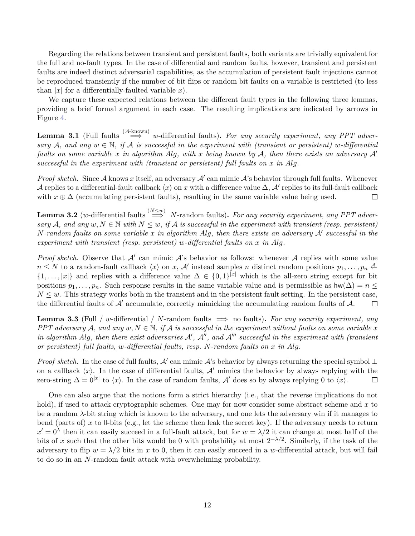Regarding the relations between transient and persistent faults, both variants are trivially equivalent for the full and no-fault types. In the case of differential and random faults, however, transient and persistent faults are indeed distinct adversarial capabilities, as the accumulation of persistent fault injections cannot be reproduced transiently if the number of bit flips or random bit faults on a variable is restricted (to less than  $|x|$  for a differentially-faulted variable x.

We capture these expected relations between the different fault types in the following three lemmas, providing a brief formal argument in each case. The resulting implications are indicated by arrows in Figure [4.](#page-10-1)

<span id="page-11-0"></span>**Lemma 3.1** (Full faults  $\stackrel{(A-\text{known})}{\implies}$  w-differential faults). For any security experiment, any PPT adver*sary* A, and any  $w \in \mathbb{N}$ , if A is successful in the experiment with (transient or persistent) *w*-differential *faults on some variable*  $x$  *in algorithm*  $Alg$ *, with*  $x$  *being known by*  $A$ *, then there exists an adversary*  $A'$ *successful in the experiment with (transient or persistent) full faults on x in Alg.*

*Proof sketch.* Since  $A$  knows  $x$  itself, an adversary  $A'$  can mimic  $A$ 's behavior through full faults. Whenever A replies to a differential-fault callback  $\langle x \rangle$  on  $x$  with a difference value  $\Delta$ , A' replies to its full-fault callback with  $x \oplus \Delta$  (accumulating persistent faults), resulting in the same variable value being used.  $\Box$ 

<span id="page-11-1"></span>**Lemma 3.2** (*w*-differential faults  $\stackrel{(N \leq w)}{\Longrightarrow}$  *N*-random faults). For any security experiment, any PPT adver $sary A$ , and any  $w, N \in \mathbb{N}$  with  $N \leq w$ , if A is successful in the experiment with transient (resp. persistent) *N*-random faults on some variable x in algorithm Alg, then there exists an adversary A' successful in the *experiment with transient (resp. persistent) w-differential faults on x in Alg.*

*Proof sketch.* Observe that  $A'$  can mimic  $A$ 's behavior as follows: whenever  $A$  replies with some value  $n \leq N$  to a random-fault callback  $\langle x \rangle$  on *x*, A' instead samples *n* distinct random positions  $p_1, \ldots, p_n \overset{\$}{\longrightarrow}$  $\{1,\ldots,|x|\}$  and replies with a difference value  $\Delta \in \{0,1\}^{|x|}$  which is the all-zero string except for bit positions  $p_1, \ldots, p_n$ . Such response results in the same variable value and is permissible as  $hw(\Delta) = n \leq$  $N \leq w$ . This strategy works both in the transient and in the persistent fault setting. In the persistent case, the differential faults of  $\mathcal{A}'$  accumulate, correctly mimicking the accumulating random faults of  $\mathcal{A}$ .  $\Box$ 

<span id="page-11-2"></span>**Lemma 3.3** (Full / *w*-differential / *N*-random faults  $\implies$  no faults). For any security experiment, any *PPT adversary* A, and any  $w, N \in \mathbb{N}$ , if A is successful in the experiment without faults on some variable x in algorithm Alg, then there exist adversaries  $A'$ ,  $A''$ , and  $A'''$  successful in the experiment with (transient *or persistent) full faults, w-differential faults, resp. N-random faults on x in Alg.*

*Proof sketch.* In the case of full faults,  $A'$  can mimic  $A$ 's behavior by always returning the special symbol  $\perp$ on a callback  $\langle x \rangle$ . In the case of differential faults, A' mimics the behavior by always replying with the zero-string  $\Delta = 0^{|x|}$  to  $\langle x \rangle$ . In the case of random faults, A' does so by always replying 0 to  $\langle x \rangle$ .  $\Box$ 

One can also argue that the notions form a strict hierarchy (i.e., that the reverse implications do not hold), if used to attack cryptographic schemes. One may for now consider some abstract scheme and x to be a random *λ*-bit string which is known to the adversary, and one lets the adversary win if it manages to bend (parts of) *x* to 0-bits (e.g., let the scheme then leak the secret key). If the adversary needs to return  $x' = 0<sup>\lambda</sup>$  then it can easily succeed in a full-fault attack, but for  $w = \lambda/2$  it can change at most half of the bits of x such that the other bits would be 0 with probability at most  $2^{-\lambda/2}$ . Similarly, if the task of the adversary to flip  $w = \lambda/2$  bits in x to 0, then it can easily succeed in a w-differential attack, but will fail to do so in an *N*-random fault attack with overwhelming probability.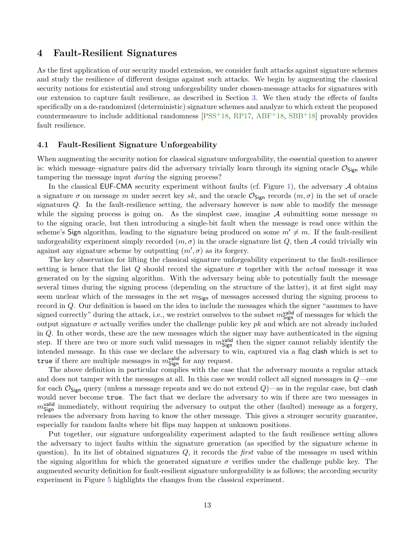## <span id="page-12-2"></span><span id="page-12-0"></span>**4 Fault-Resilient Signatures**

As the first application of our security model extension, we consider fault attacks against signature schemes and study the resilience of different designs against such attacks. We begin by augmenting the classical security notions for existential and strong unforgeability under chosen-message attacks for signatures with our extension to capture fault resilience, as described in Section [3.](#page-8-0) We then study the effects of faults specifically on a de-randomized (deterministic) signature schemes and analyze to which extent the proposed countermeasure to include additional randomness  $[PSS^+18, RP17, ABF^+18, SBB^+18]$  $[PSS^+18, RP17, ABF^+18, SBB^+18]$  $[PSS^+18, RP17, ABF^+18, SBB^+18]$  $[PSS^+18, RP17, ABF^+18, SBB^+18]$  $[PSS^+18, RP17, ABF^+18, SBB^+18]$  $[PSS^+18, RP17, ABF^+18, SBB^+18]$  $[PSS^+18, RP17, ABF^+18, SBB^+18]$  $[PSS^+18, RP17, ABF^+18, SBB^+18]$  provably provides fault resilience.

#### <span id="page-12-1"></span>**4.1 Fault-Resilient Signature Unforgeability**

When augmenting the security notion for classical signature unforgeability, the essential question to answer is: which message–signature pairs did the adversary trivially learn through its signing oracle  $\mathcal{O}_{\text{Sien}}$  while tampering the message input *during* the signing process?

In the classical EUF-CMA security experiment without faults (cf. Figure [1\)](#page-6-3), the adversary  $\mathcal A$  obtains a signature  $\sigma$  on message *m* under secret key *sk*, and the oracle  $\mathcal{O}_{Sign}$  records  $(m, \sigma)$  in the set of oracle signatures *Q*. In the fault-resilience setting, the adversary however is now able to modify the message while the signing process is going on. As the simplest case, imagine  $A$  submitting some message  $m$ to the signing oracle, but then introducing a single-bit fault when the message is read once within the scheme's Sign algorithm, leading to the signature being produced on some  $m' \neq m$ . If the fault-resilient unforgeability experiment simply recorded  $(m, \sigma)$  in the oracle signature list  $Q$ , then  $\mathcal A$  could trivially win against any signature scheme by outputting  $(m', \sigma)$  as its forgery.

The key observation for lifting the classical signature unforgeability experiment to the fault-resilience setting is hence that the list *Q* should record the signature  $\sigma$  together with the *actual* message it was generated on by the signing algorithm. With the adversary being able to potentially fault the message several times during the signing process (depending on the structure of the latter), it at first sight may seem unclear which of the messages in the set  $m_{\text{Sign}}$  of messages accessed during the signing process to record in *Q*. Our definition is based on the idea to include the messages which the signer "assumes to have signed correctly" during the attack, i.e., we restrict ourselves to the subset  $m_{\text{Sign}}^{\text{valid}}$  of messages for which the output signature  $\sigma$  actually verifies under the challenge public key  $pk$  and which are not already included in *Q*. In other words, these are the new messages which the signer may have authenticated in the signing step. If there are two or more such valid messages in  $m_{\text{Sign}}^{\text{valid}}$  then the signer cannot reliably identify the intended message. In this case we declare the adversary to win, captured via a flag clash which is set to true if there are multiple messages in  $m_{\text{Sign}}^{\text{valid}}$  for any request.

The above definition in particular complies with the case that the adversary mounts a regular attack and does not tamper with the messages at all. In this case we would collect all signed messages in *Q*—one for each  $\mathcal{O}_{\text{Sign}}$  query (unless a message repeats and we do not extend  $Q$ )—as in the regular case, but clash would never become true. The fact that we declare the adversary to win if there are two messages in  $m_{\text{Sign}}^{\text{valid}}$  immediately, without requiring the adversary to output the other (faulted) message as a forgery, releases the adversary from having to know the other message. This gives a stronger security guarantee, especially for random faults where bit flips may happen at unknown positions.

Put together, our signature unforgeability experiment adapted to the fault resilience setting allows the adversary to inject faults within the signature generation (as specified by the signature scheme in question). In its list of obtained signatures *Q*, it records the *first* value of the messages *m* used within the signing algorithm for which the generated signature  $\sigma$  verifies under the challenge public key. The augmented security definition for fault-resilient signature unforgeability is as follows; the according security experiment in Figure [5](#page-13-1) highlights the changes from the classical experiment.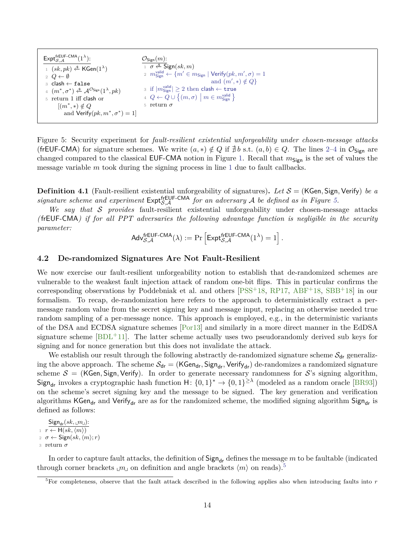```
\mathsf{Expt}_{\mathcal{S},\mathcal{A}}^{\mathsf{frEUE-CMA}}(1^{\lambda}):
 1 (sk, pk) ← KGen(1<sup>\lambda</sup>)
2 Q \leftarrow \emptyset3 clash ← false
 4 \left( m^*, \sigma^* \right) \stackrel{\$}{\leftarrow} \mathcal{A}^{\mathcal{O}_{\mathsf{Sign}}}(1^\lambda, pk)5 return 1 iff clash or
           [(m^*, *) \notin Q]and Verify(pk, m^*, \sigma^*) = 1\mathcal{O}_{\mathsf{Sign}}(m):
                                                                                  1 σ ←−$ Sign(sk, m)
                                                                                   _2 m_{\mathsf{Sign}}^{\mathsf{valid}} \leftarrow \{m' \in m_{\mathsf{Sign}} \mid \mathsf{Verify}(pk, m', \sigma) = 1\}and (m', *) \notin Q_3 if |m_{\mathsf{Sign}}^{\mathsf{valid}}| \geq 2 then \mathsf{clash} \leftarrow \mathtt{true}4 \ Q \leftarrow Q \cup \left\{ (m, \sigma) \mid m \in m_{\mathsf{Sign}}^{\mathsf{valid}} \right\}5 return σ
```
Figure 5: Security experiment for *fault-resilient existential unforgeability under chosen-message attacks* (frEUF-CMA) for signature schemes. We write  $(a, *) \notin Q$  if  $\nexists b$  s.t.  $(a, b) \in Q$ . The lines [2](#page-13-2)[–4](#page-13-3) in  $\mathcal{O}_{\text{Sign}}$  are changed compared to the classical EUF-CMA notion in Figure [1.](#page-6-3) Recall that  $m_{Sign}$  is the set of values the message variable *m* took during the signing process in line [1](#page-13-4) due to fault callbacks.

**Def inition 4.1** (Fault-resilient existential unforgeability of signatures)**.** *Let* S = (KGen*,* Sign*,* Verify) *be a* signature scheme and experiment  $Expt_{S,A}^{f_{\text{FEUF-CMA}}}$  for an adversary A be defined as in Figure [5.](#page-13-1)

*We say that* S *provides* fault-resilient existential unforgeability under chosen-message attacks *(* frEUF-CMA*) if for all PPT adversaries the following advantage function is negligible in the security parameter:*

$$
\mathsf{Adv}_{\mathcal{S},\mathcal{A}}^{\mathsf{frEUF-CMA}}(\lambda) := \Pr\left[\mathsf{Expt}_{\mathcal{S},\mathcal{A}}^{\mathsf{frEUF-CMA}}(1^\lambda) = 1\right].
$$

## <span id="page-13-0"></span>**4.2 De-randomized Signatures Are Not Fault-Resilient**

We now exercise our fault-resilient unforgeability notion to establish that de-randomized schemes are vulnerable to the weakest fault injection attack of random one-bit flips. This in particular confirms the corresponding observations by Poddebniak et al. and others  $[PSS^+18, RP17, ABF^+18, SBB^+18]$  $[PSS^+18, RP17, ABF^+18, SBB^+18]$  $[PSS^+18, RP17, ABF^+18, SBB^+18]$  $[PSS^+18, RP17, ABF^+18, SBB^+18]$  $[PSS^+18, RP17, ABF^+18, SBB^+18]$  $[PSS^+18, RP17, ABF^+18, SBB^+18]$  $[PSS^+18, RP17, ABF^+18, SBB^+18]$  $[PSS^+18, RP17, ABF^+18, SBB^+18]$  in our formalism. To recap, de-randomization here refers to the approach to deterministically extract a permessage random value from the secret signing key and message input, replacing an otherwise needed true random sampling of a per-message nonce. This approach is employed, e.g., in the deterministic variants of the DSA and ECDSA signature schemes [\[Por13\]](#page-28-4) and similarly in a more direct manner in the EdDSA signature scheme  $[BDL+11]$  $[BDL+11]$ . The latter scheme actually uses two pseudorandomly derived sub keys for signing and for nonce generation but this does not invalidate the attack.

We establish our result through the following abstractly de-randomized signature scheme  $S_{\text{dr}}$  generalizing the above approach. The scheme  $S_{dr} = (KGen_{dr}, Sign_{dr}, Verify_{dr})$  de-randomizes a randomized signature scheme  $S = (KGen, Sign, Verify)$ . In order to generate necessary randomness for S's signing algorithm,  $Sign_{dr}$  invokes a cryptographic hash function  $H: \{0,1\}^* \to \{0,1\}^{\geq \lambda}$  (modeled as a random oracle [\[BR93\]](#page-26-5)) on the scheme's secret signing key and the message to be signed. The key generation and verification algorithms KGen<sub>dr</sub> and Verify<sub>dr</sub> are as for the randomized scheme, the modified signing algorithm Sign<sub>dr</sub> is defined as follows:

<span id="page-13-7"></span><span id="page-13-6"></span> $Sign_{dr}(sk, \mu)$ :  $r \leftarrow H(sk,\langle m \rangle)$ 2  $\sigma \leftarrow$  Sign(sk,  $\langle m \rangle; r$ ) <sup>3</sup> return *σ*

In order to capture fault attacks, the definition of  $\text{Sign}_{dr}$  defines the message m to be faultable (indicated through corner brackets  $\llcorner m\llcorner$  on definition and angle brackets  $\langle m \rangle$  on reads).<sup>[5](#page-13-5)</sup>

<span id="page-13-5"></span><sup>5</sup>For completeness, observe that the fault attack described in the following applies also when introducing faults into *r*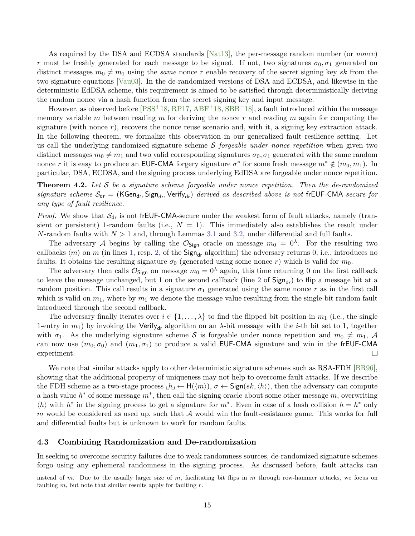<span id="page-14-1"></span>As required by the DSA and ECDSA standards [\[Nat13\]](#page-28-3), the per-message random number (or *nonce*) *r* must be freshly generated for each message to be signed. If not, two signatures  $\sigma_0, \sigma_1$  generated on distinct messages  $m_0 \neq m_1$  using the *same* nonce r enable recovery of the secret signing key *sk* from the two signature equations [\[Vau03\]](#page-29-7). In the de-randomized versions of DSA and ECDSA, and likewise in the deterministic EdDSA scheme, this requirement is aimed to be satisfied through deterministically deriving the random nonce via a hash function from the secret signing key and input message.

However, as observed before  $[PSS+18, RPI7, ABF+18, SBB+18]$  $[PSS+18, RPI7, ABF+18, SBB+18]$  $[PSS+18, RPI7, ABF+18, SBB+18]$  $[PSS+18, RPI7, ABF+18, SBB+18]$  $[PSS+18, RPI7, ABF+18, SBB+18]$  $[PSS+18, RPI7, ABF+18, SBB+18]$ , a fault introduced within the message memory variable *m* between reading *m* for deriving the nonce *r* and reading *m* again for computing the signature (with nonce *r*), recovers the nonce reuse scenario and, with it, a signing key extraction attack. In the following theorem, we formalize this observation in our generalized fault resilience setting. Let us call the underlying randomized signature scheme S *forgeable under nonce repetition* when given two distinct messages  $m_0 \neq m_1$  and two valid corresponding signatures  $\sigma_0$ ,  $\sigma_1$  generated with the same random nonce *r* it is easy to produce an EUF-CMA forgery signature  $\sigma^*$  for some fresh message  $m^* \notin (m_0, m_1)$ . In particular, DSA, ECDSA, and the signing process underlying EdDSA are forgeable under nonce repetition.

**Theorem 4.2.** *Let* S *be a signature scheme forgeable under nonce repetition. Then the de-randomized signature scheme* Sdr = (KGendr*,* Signdr*,* Verifydr) *derived as described above is not* frEUF-CMA*-secure for any type of fault resilience.*

*Proof.* We show that  $S_{dr}$  is not frEUF-CMA-secure under the weakest form of fault attacks, namely (transient or persistent) 1-random faults (i.e.,  $N = 1$ ). This immediately also establishes the result under *N*-random faults with *N >* 1 and, through Lemmas [3.1](#page-11-0) and [3.2,](#page-11-1) under differential and full faults.

The adversary A begins by calling the  $\mathcal{O}_{Sign}$  oracle on message  $m_0 = 0^{\lambda}$ . For the resulting two callbacks  $\langle m \rangle$  on *m* (in lines [1,](#page-13-6) resp. [2,](#page-13-7) of the Sign<sub>dr</sub> algorithm) the adversary returns 0, i.e., introduces no faults. It obtains the resulting signature  $\sigma_0$  (generated using some nonce *r*) which is valid for  $m_0$ .

The adversary then calls  $\mathcal{O}_{Sign}$  on message  $m_0 = 0^{\lambda}$  again, this time returning 0 on the first callback to leave the message unchanged, but 1 on the second callback (line [2](#page-13-7) of  $Sign_{dr}$ ) to flip a message bit at a random position. This call results in a signature  $\sigma_1$  generated using the same nonce r as in the first call which is valid on  $m_1$ , where by  $m_1$  we denote the message value resulting from the single-bit random fault introduced through the second callback.

The adversary finally iterates over  $i \in \{1, \ldots, \lambda\}$  to find the flipped bit position in  $m_1$  (i.e., the single 1-entry in  $m_1$ ) by invoking the Verify<sub>dr</sub> algorithm on an  $\lambda$ -bit message with the *i*-th bit set to 1, together with  $\sigma_1$ . As the underlying signature scheme S is forgeable under nonce repetition and  $m_0 \neq m_1$ , A can now use  $(m_0, \sigma_0)$  and  $(m_1, \sigma_1)$  to produce a valid EUF-CMA signature and win in the frEUF-CMA experiment.  $\Box$ 

We note that similar attacks apply to other deterministic signature schemes such as RSA-FDH [\[BR96\]](#page-26-9), showing that the additional property of uniqueness may not help to overcome fault attacks. If we describe the FDH scheme as a two-stage process  $\mu_1 \leftarrow H(\langle m \rangle), \sigma \leftarrow$  Sign( $sk, \langle h \rangle$ ), then the adversary can compute a hash value *h* <sup>∗</sup> of some message *m*<sup>∗</sup> , then call the signing oracle about some other message *m*, overwriting  $\langle h \rangle$  with *h*<sup>\*</sup> in the signing process to get a signature for *m*<sup>\*</sup>. Even in case of a hash collision *h* = *h*<sup>\*</sup> only *m* would be considered as used up, such that  $\mathcal A$  would win the fault-resistance game. This works for full and differential faults but is unknown to work for random faults.

#### <span id="page-14-0"></span>**4.3 Combining Randomization and De-randomization**

In seeking to overcome security failures due to weak randomness sources, de-randomized signature schemes forgo using any ephemeral randomness in the signing process. As discussed before, fault attacks can

instead of *m*. Due to the usually larger size of *m*, facilitating bit flips in *m* through row-hammer attacks, we focus on faulting *m*, but note that similar results apply for faulting *r*.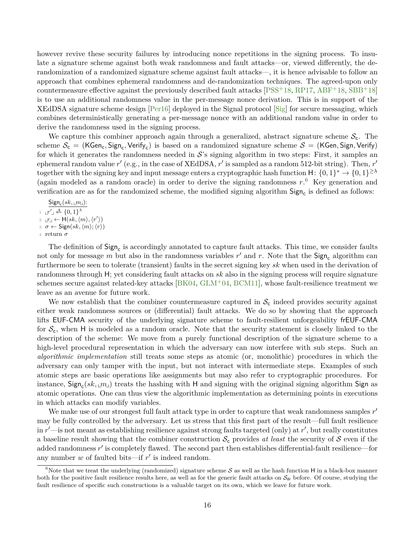<span id="page-15-4"></span>however revive these security failures by introducing nonce repetitions in the signing process. To insulate a signature scheme against both weak randomness and fault attacks—or, viewed differently, the derandomization of a randomized signature scheme against fault attacks—, it is hence advisable to follow an approach that combines ephemeral randomness and de-randomization techniques. The agreed-upon only countermeasure effective against the previously described fault attacks  $[PSS^+18, RPI7, ABF^+18, SBB^+18]$  $[PSS^+18, RPI7, ABF^+18, SBB^+18]$  $[PSS^+18, RPI7, ABF^+18, SBB^+18]$  $[PSS^+18, RPI7, ABF^+18, SBB^+18]$  $[PSS^+18, RPI7, ABF^+18, SBB^+18]$  $[PSS^+18, RPI7, ABF^+18, SBB^+18]$ is to use an additional randomness value in the per-message nonce derivation. This is in support of the XEdDSA signature scheme design [\[Per16\]](#page-28-5) deployed in the Signal protocol [\[Sig\]](#page-29-1) for secure messaging, which combines deterministically generating a per-message nonce with an additional random value in order to derive the randomness used in the signing process.

We capture this combiner approach again through a generalized, abstract signature scheme  $\mathcal{S}_{c}$ . The  $s$ cheme  $\mathcal{S}_c =$  (KGen $_c$ , Sign $_c$ , Verify $_c$ ) is based on a randomized signature scheme  $\mathcal{S} =$  (KGen, Sign, Verify) for which it generates the randomness needed in  $\mathcal{S}$ 's signing algorithm in two steps: First, it samples an ephemeral random value  $r'$  (e.g., in the case of XEdDSA,  $r'$  is sampled as a random 512-bit string). Then,  $r'$ together with the signing key and input message enters a cryptographic hash function  $H: \{0,1\}^* \to \{0,1\}^{\geq \lambda}$ (again modeled as a random oracle) in order to derive the signing randomness  $r$ .<sup>[6](#page-15-0)</sup> Key generation and verification are as for the randomized scheme, the modified signing algorithm  $\text{Sign}_{c}$  is defined as follows:

<span id="page-15-3"></span><span id="page-15-1"></span> $\mathsf{Sign}_{\mathsf{c}}(sk, \llcorner m\lrcorner)$ :  $\lbrack \mathbf{r}^{\prime} \rbrack \overset{\mathbf{\$}}{\leftarrow} \{0,1\}^{\lambda}$ 2 *x*<sub>→</sub> ← **H**(*sk*,  $\langle m \rangle$ ,  $\langle r' \rangle$ ) 3  $\sigma \leftarrow$  Sign( $sk, \langle m \rangle$ ;  $\langle r \rangle$ ) <sup>4</sup> return *σ*

<span id="page-15-2"></span>The definition of  $\textsf{Sign}_{\textsf{c}}$  is accordingly annotated to capture fault attacks. This time, we consider faults not only for message *m* but also in the randomness variables  $r'$  and  $r$ . Note that the  $\text{Sign}_{c}$  algorithm can furthermore be seen to tolerate (transient) faults in the secret signing key *sk* when used in the derivation of randomness through H; yet considering fault attacks on *sk* also in the signing process will require signature schemes secure against related-key attacks [\[BK04,](#page-25-7) [GLM](#page-27-8)+04, [BCM11\]](#page-24-7), whose fault-resilience treatment we leave as an avenue for future work.

We now establish that the combiner countermeasure captured in  $\mathcal{S}_{c}$  indeed provides security against either weak randomness sources or (differential) fault attacks. We do so by showing that the approach lifts EUF-CMA security of the underlying signature scheme to fault-resilient unforgeability frEUF-CMA for  $\mathcal{S}_{c}$ , when H is modeled as a random oracle. Note that the security statement is closely linked to the description of the scheme: We move from a purely functional description of the signature scheme to a high-level procedural representation in which the adversary can now interfere with sub steps. Such an *algorithmic implementation* still treats some steps as atomic (or, monolithic) procedures in which the adversary can only tamper with the input, but not interact with intermediate steps. Examples of such atomic steps are basic operations like assignments but may also refer to cryptographic procedures. For instance,  $\textsf{Sign}_{c}(sk, \llcorner m\lrcorner)$  treats the hashing with H and signing with the original signing algorithm Sign as atomic operations. One can thus view the algorithmic implementation as determining points in executions in which attacks can modify variables.

We make use of our strongest full fault attack type in order to capture that weak randomness samples  $r'$ may be fully controlled by the adversary. Let us stress that this first part of the result—full fault resilience in *r*'—is not meant as establishing resilience against strong faults targeted (only) at *r'*, but really constitutes a baseline result showing that the combiner construction  $S_c$  provides *at least* the security of S even if the added randomness r' is completely flawed. The second part then establishes differential-fault resilience—for any number  $w$  of faulted bits—if  $r'$  is indeed random.

<span id="page-15-0"></span><sup>&</sup>lt;sup>6</sup>Note that we treat the underlying (randomized) signature scheme S as well as the hash function H in a black-box manner both for the positive fault resilience results here, as well as for the generic fault attacks on  $S_{dr}$  before. Of course, studying the fault resilience of specific such constructions is a valuable target on its own, which we leave for future work.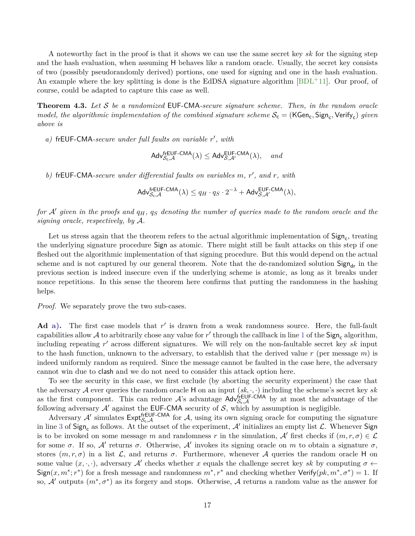<span id="page-16-3"></span>A noteworthy fact in the proof is that it shows we can use the same secret key *sk* for the signing step and the hash evaluation, when assuming H behaves like a random oracle. Usually, the secret key consists of two (possibly pseudorandomly derived) portions, one used for signing and one in the hash evaluation. An example where the key splitting is done is the EdDSA signature algorithm  $[BDL+11]$  $[BDL+11]$ . Our proof, of course, could be adapted to capture this case as well.

<span id="page-16-2"></span>**Theorem 4.3.** *Let* S *be a randomized* EUF-CMA*-secure signature scheme. Then, in the random oracle model, the algorithmic implementation of the combined signature scheme*  $S_c = (KGen_c, Sign_c, Verify_c)$  *given above is*

<span id="page-16-0"></span>a) frEUF-CMA-secure under full faults on variable  $r'$ , with

$$
\mathsf{Adv}_{\mathcal{S}_c,\mathcal{A}}^{\mathsf{frEUF-CMA}}(\lambda) \le \mathsf{Adv}_{\mathcal{S},\mathcal{A}'}^{\mathsf{EUF-CMA}}(\lambda), \quad \text{and}
$$

<span id="page-16-1"></span>*b*) frEUF-CMA-secure under differential faults on variables  $m, r'$ , and  $r,$  with

$$
\mathsf{Adv}^{\mathsf{f}_\mathsf{FCUF\text{-}CMA}}_{\mathcal{S}_\mathsf{c},\mathcal{A}}(\lambda) \leq q_H \cdot q_S \cdot 2^{-\lambda} + \mathsf{Adv}^{\mathsf{EUF\text{-}CMA}}_{\mathcal{S},\mathcal{A}'}(\lambda),
$$

 $f$ or  $A'$  given in the proofs and  $q$ <sup>*H*</sup>,  $q$ <sup>*S*</sup> *denoting the number of queries made to the random oracle and the signing oracle, respectively, by* A*.*

Let us stress again that the theorem refers to the actual algorithmic implementation of  $\text{Sign}_c$ , treating the underlying signature procedure Sign as atomic. There might still be fault attacks on this step if one fleshed out the algorithmic implementation of that signing procedure. But this would depend on the actual scheme and is not captured by our general theorem. Note that the de-randomized solution  $\text{Sign}_{dr}$  in the previous section is indeed insecure even if the underlying scheme is atomic, as long as it breaks under nonce repetitions. In this sense the theorem here confirms that putting the randomness in the hashing helps.

*Proof.* We separately prove the two sub-cases.

Ad [a\).](#page-16-0) The first case models that r' is drawn from a weak randomness source. Here, the full-fault capabilities allow  $A$  to arbitrarily chose any value for  $r'$  through the callback in line [1](#page-15-1) of the  $\text{Sign}_{c}$  algorithm, including repeating r' across different signatures. We will rely on the non-faultable secret key *sk* input to the hash function, unknown to the adversary, to establish that the derived value *r* (per message *m*) is indeed uniformly random as required. Since the message cannot be faulted in the case here, the adversary cannot win due to clash and we do not need to consider this attack option here.

To see the security in this case, we first exclude (by aborting the security experiment) the case that the adversary  $A$  ever queries the random oracle H on an input  $(sk, \cdot, \cdot)$  including the scheme's secret key  $sk$ as the first component. This can reduce  $\mathcal{A}$ 's advantage  $\mathsf{Adv}_{\mathcal{S}_{c},\mathcal{A}}^{\mathsf{f}_r\mathsf{EUF-CMA}}$  by at most the advantage of the following adversary  $A'$  against the EUF-CMA security of  $S$ , which by assumption is negligible.

Adversary  $A'$  simulates  $\textsf{Expt}_{\mathcal{S}_{c},\mathcal{A}}^{\text{fFEUF-CMA}}$  for  $\mathcal{A}$ , using its own signing oracle for computing the signature in line [3](#page-15-2) of  $Sign_c$  as follows. At the outset of the experiment,  $\mathcal{A}'$  initializes an empty list  $\mathcal{L}$ . Whenever Sign is to be invoked on some message *m* and randomness *r* in the simulation, A' first checks if  $(m, r, \sigma) \in \mathcal{L}$ for some  $\sigma$ . If so,  $\mathcal{A}'$  returns  $\sigma$ . Otherwise,  $\mathcal{A}'$  invokes its signing oracle on  $m$  to obtain a signature  $\sigma$ , stores  $(m, r, \sigma)$  in a list  $\mathcal{L}$ , and returns  $\sigma$ . Furthermore, whenever A queries the random oracle H on some value  $(x, \cdot, \cdot)$ , adversary A' checks whether *x* equals the challenge secret key *sk* by computing  $\sigma \leftarrow$  $Sign(x, m^*; r^*)$  for a fresh message and randomness  $m^*$ ,  $r^*$  and checking whether Verify( $pk, m^*, \sigma^*$ ) = 1. If so,  $A'$  outputs  $(m^*, \sigma^*)$  as its forgery and stops. Otherwise, A returns a random value as the answer for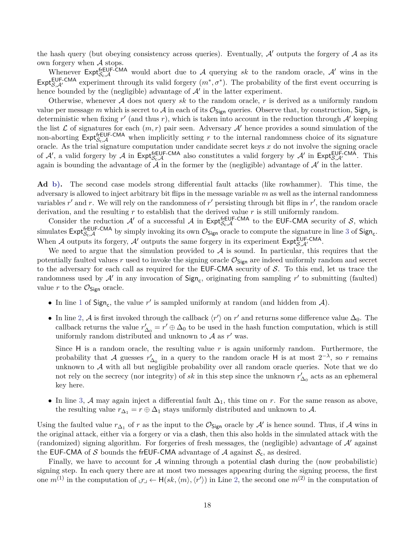the hash query (but obeying consistency across queries). Eventually,  $A'$  outputs the forgery of  $A$  as its own forgery when  $A$  stops.

Whenever  $\mathsf{Expt}_{\mathcal{S}_{c},\mathcal{A}}^{\mathsf{f}_r\mathsf{EUF-CMA}}$  would abort due to A querying *sk* to the random oracle, A' wins in the Expt<sub>S,A'</sub><sup>CUF-CMA</sup> experiment through its valid forgery  $(m^*, \sigma^*)$ . The probability of the first event occurring is hence bounded by the (negligible) advantage of  $\mathcal{A}'$  in the latter experiment.

Otherwise, whenever  $A$  does not query  $sk$  to the random oracle,  $r$  is derived as a uniformly random value per message *m* which is secret to  $A$  in each of its  $\mathcal{O}_{Sign}$  queries. Observe that, by construction,  $Sign_c$  is deterministic when fixing  $r'$  (and thus  $r$ ), which is taken into account in the reduction through  $A'$  keeping the list  $\mathcal L$  of signatures for each  $(m, r)$  pair seen. Adversary  $\mathcal A'$  hence provides a sound simulation of the non-aborting  $\text{Expt}_{\mathcal{S}_c,\mathcal{A}}^{\text{fFLUF-CMA}}$  when implicitly setting r to the internal randomness choice of its signature oracle. As the trial signature computation under candidate secret keys *x* do not involve the signing oracle of  $A'$ , a valid forgery by  $A$  in  $\mathsf{Expt}_{\mathcal{S}_{c},\mathcal{A}}^{\mathsf{f}_r\mathsf{EUF-CMA}}$  also constitutes a valid forgery by  $A'$  in  $\mathsf{Expt}_{\mathcal{S},\mathcal{A}'}^{\mathsf{EUF-CMA}}$ . This again is bounding the advantage of  $\tilde{\mathcal{A}}$  in the former by the (negligible) advantage of  $\mathcal{A}'$  in the latter.

**Ad [b\).](#page-16-1)** The second case models strong differential fault attacks (like rowhammer). This time, the adversary is allowed to inject arbitrary bit flips in the message variable *m* as well as the internal randomness variables  $r'$  and  $r$ . We will rely on the randomness of  $r'$  persisting through bit flips in  $r'$ , the random oracle derivation, and the resulting *r* to establish that the derived value *r* is still uniformly random.

Consider the reduction  $\mathcal{A}'$  of a successful  $\mathcal{A}$  in Expt<sup>frEUF-CMA</sup> to the EUF-CMA security of  $\mathcal{S}$ , which simulates  $\textsf{Exptf}_{\mathcal{S}_c,\mathcal{A}}^{\textsf{fFUF-CMA}}$  by simply invoking its own  $\mathcal{O}_{\textsf{Sign}}$  oracle to compute the signature in line [3](#page-15-2) of  $\textsf{Sign}_c$ . When A outputs its forgery,  $\mathcal{A}'$  outputs the same forgery in its experiment  $\text{Expt}_{\mathcal{S},\mathcal{A}'}^{\text{EUF-CMA}}$ .

We need to argue that the simulation provided to  $A$  is sound. In particular, this requires that the potentially faulted values  $r$  used to invoke the signing oracle  $\mathcal{O}_{Sign}$  are indeed uniformly random and secret to the adversary for each call as required for the EUF-CMA security of  $S$ . To this end, let us trace the randomness used by  $\mathcal{A}'$  in any invocation of  $Sign_c$ , originating from sampling  $r'$  to submitting (faulted) value r to the  $\mathcal{O}_{\mathsf{Sign}}$  oracle.

- In line [1](#page-15-1) of  $Sign_c$ , the value  $r'$  is sampled uniformly at random (and hidden from  $\mathcal{A}$ ).
- In line [2,](#page-15-3) A is first invoked through the callback  $\langle r' \rangle$  on  $r'$  and returns some difference value  $\Delta_0$ . The callback returns the value  $r'_{\Delta_0} = r' \oplus \Delta_0$  to be used in the hash function computation, which is still uniformly random distributed and unknown to  $A$  as  $r'$  was.

Since H is a random oracle, the resulting value *r* is again uniformly random. Furthermore, the probability that A guesses  $r'_{\Delta_0}$  in a query to the random oracle H is at most  $2^{-\lambda}$ , so r remains unknown to  $A$  with all but negligible probability over all random oracle queries. Note that we do not rely on the secrecy (nor integrity) of  $sk$  in this step since the unknown  $r'_{\Delta_0}$  acts as an ephemeral key here.

• In line [3,](#page-15-2) A may again inject a differential fault  $\Delta_1$ , this time on *r*. For the same reason as above, the resulting value  $r_{\Delta_1} = r \oplus \Delta_1$  stays uniformly distributed and unknown to A.

Using the faulted value  $r_{\Delta_1}$  of  $r$  as the input to the  $\mathcal{O}_{Sign}$  oracle by  $\mathcal{A}'$  is hence sound. Thus, if  $\mathcal{A}$  wins in the original attack, either via a forgery or via a clash, then this also holds in the simulated attack with the (randomized) signing algorithm. For forgeries of fresh messages, the (negligible) advantage of  $A'$  against the EUF-CMA of S bounds the frEUF-CMA advantage of A against  $S_c$ , as desired.

Finally, we have to account for  $A$  winning through a potential clash during the (now probabilistic) signing step. In each query there are at most two messages appearing during the signing process, the first one  $m^{(1)}$  in the computation of  $r \to H(sk,\langle m \rangle,\langle r' \rangle)$  in Line [2,](#page-15-3) the second one  $m^{(2)}$  in the computation of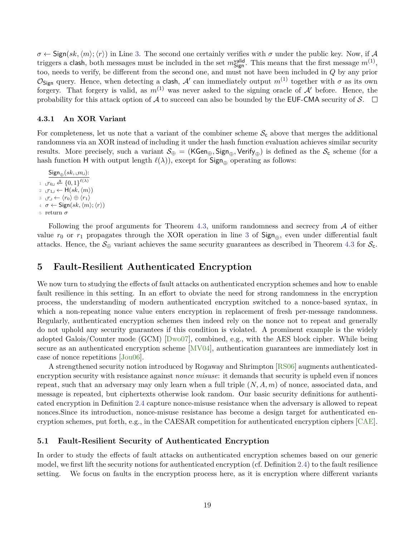<span id="page-18-4"></span> $\sigma \leftarrow$  Sign(sk,  $\langle m \rangle$ ;  $\langle r \rangle$ ) in Line [3.](#page-15-2) The second one certainly verifies with  $\sigma$  under the public key. Now, if A triggers a clash, both messages must be included in the set  $m_{\text{Sign}}^{\text{valid}}$ . This means that the first message  $m^{(1)}$ , too, needs to verify, be different from the second one, and must not have been included in *Q* by any prior  $\mathcal{O}_{\mathsf{Sign}}$  query. Hence, when detecting a clash,  $\mathcal{A}'$  can immediately output  $m^{(1)}$  together with  $\sigma$  as its own forgery. That forgery is valid, as  $m^{(1)}$  was never asked to the signing oracle of  $A'$  before. Hence, the probability for this attack option of A to succeed can also be bounded by the EUF-CMA security of S.  $\Box$ 

#### <span id="page-18-0"></span>**4.3.1 An XOR Variant**

For completeness, let us note that a variant of the combiner scheme  $S_c$  above that merges the additional randomness via an XOR instead of including it under the hash function evaluation achieves similar security results. More precisely, such a variant  $S_{\oplus} = (\mathsf{KGen}_{\oplus}, \mathsf{Sign}_{\oplus}, \mathsf{Verify}_{\oplus})$  is defined as the  $S_{\mathsf{c}}$  scheme (for a hash function H with output length  $\ell(\lambda)$ , except for Sign<sub>⊕</sub> operating as follows:

<span id="page-18-3"></span> $Sign_{\oplus}(sk, \mu)$ : <sup>1</sup> x*r*0y ←− { \$ 0*,* 1} *`*(*λ*) 2 *r*<sub>1</sub> ← **H**(*sk*,  $\langle m \rangle$ ) 3  $r_1 \leftarrow \langle r_0 \rangle \oplus \langle r_1 \rangle$  $4 \sigma \leftarrow$  Sign(*sk*,  $\langle m \rangle$ ;  $\langle r \rangle$ ) <sup>5</sup> return *σ*

Following the proof arguments for Theorem [4.3,](#page-16-2) uniform randomness and secrecy from  $A$  of either value  $r_0$  or  $r_1$  propagates through the XOR operation in line [3](#page-18-3) of Sign<sub>⊕</sub>, even under differential fault attacks. Hence, the  $S_{\oplus}$  variant achieves the same security guarantees as described in Theorem [4.3](#page-16-2) for  $S_{\rm c}$ .

## <span id="page-18-1"></span>**5 Fault-Resilient Authenticated Encryption**

We now turn to studying the effects of fault attacks on authenticated encryption schemes and how to enable fault resilience in this setting. In an effort to obviate the need for strong randomness in the encryption process, the understanding of modern authenticated encryption switched to a nonce-based syntax, in which a non-repeating nonce value enters encryption in replacement of fresh per-message randomness. Regularly, authenticated encryption schemes then indeed rely on the nonce not to repeat and generally do not uphold any security guarantees if this condition is violated. A prominent example is the widely adopted Galois/Counter mode (GCM) [\[Dwo07\]](#page-26-10), combined, e.g., with the AES block cipher. While being secure as an authenticated encryption scheme [\[MV04\]](#page-28-11), authentication guarantees are immediately lost in case of nonce repetitions [\[Jou06\]](#page-27-10).

A strengthened security notion introduced by Rogaway and Shrimpton [\[RS06\]](#page-28-9) augments authenticatedencryption security with resistance against *nonce misuse*: it demands that security is upheld even if nonces repeat, such that an adversary may only learn when a full triple (*N, A, m*) of nonce, associated data, and message is repeated, but ciphertexts otherwise look random. Our basic security definitions for authenticated encryption in Definition [2.4](#page-7-2) capture nonce-misuse resistance when the adversary is allowed to repeat nonces.Since its introduction, nonce-misuse resistance has become a design target for authenticated encryption schemes, put forth, e.g., in the CAESAR competition for authenticated encryption ciphers [\[CAE\]](#page-26-11).

#### <span id="page-18-2"></span>**5.1 Fault-Resilient Security of Authenticated Encryption**

In order to study the effects of fault attacks on authenticated encryption schemes based on our generic model, we first lift the security notions for authenticated encryption (cf. Definition [2.4\)](#page-7-2) to the fault resilience setting. We focus on faults in the encryption process here, as it is encryption where different variants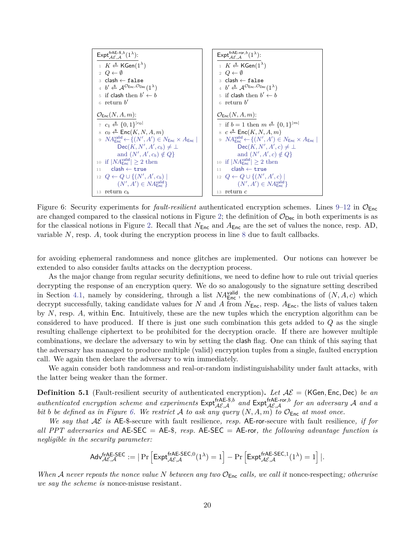<span id="page-19-3"></span><span id="page-19-2"></span><span id="page-19-0"></span>

| Expt <sup>f_rAE-S,b</sup> (1^) |                                                                 |                                                 |                                                                          |   |                                                                                                   |   |                                                                        |
|--------------------------------|-----------------------------------------------------------------|-------------------------------------------------|--------------------------------------------------------------------------|---|---------------------------------------------------------------------------------------------------|---|------------------------------------------------------------------------|
| 1                              | $K \stackrel{\ast}{\leftarrow} \text{KGen}(1^{\lambda})$        | $\text{Expt}_{AE,A}^{f_rAE-for,b}(1^{\lambda})$ |                                                                          |   |                                                                                                   |   |                                                                        |
| 2                              | $Q \leftarrow \emptyset$                                        | 3                                               | $\text{clash} \leftarrow \text{false}$                                   |   |                                                                                                   |   |                                                                        |
| 3                              | $\text{clash} \leftarrow \text{false}$                          | 3                                               | $\text{clash} \leftarrow \text{false}$                                   |   |                                                                                                   |   |                                                                        |
| 4                              | $b' \stackrel{\ast}{\leftarrow} \text{ACGen}(1^{\lambda})$      | 5                                               | $\text{if } \text{clash}$ then $b' \leftarrow b$                         | 6 | $\text{return } b'$                                                                               |   |                                                                        |
| 6                              | return $b'$                                                     | 7                                               | $\text{if } \text{else } \text{if } \text{clash}$ then $b' \leftarrow b$ | 8 | $\text{if } \text{clash}$ then $b' \leftarrow b$                                                  |   |                                                                        |
| 7                              | $\text{c}_1 \stackrel{\ast}{\leftarrow} \{0,1\}^{ \text{c}_0 }$ | 8                                               | $\text{c} \stackrel{\ast}{\leftarrow} \text{Enc}(K, N, A, m)$            | 9 | $N A_{\text{Enc}}^{\text{valid}} \leftarrow \{ (N', A') \in N_{\text{Enc}} \times A_{\text{Enc}}$ | 9 | $N A_{\text{Enc}}^{\text{valid}} \leftarrow \{ (N', A', c) \neq \perp$ |
| 10                             | if $ NA_{\text{Enc}}^{\text{valid}}  \geq 2$ then               | 11                                              | $\text{clash} \leftarrow \text{true}$                                    |   |                                                                                                   |   |                                                                        |
| 12                             | $Q \leftarrow Q \cup \{ (N', A', c_b) \$                        |                                                 |                                                                          |   |                                                                                                   |   |                                                                        |

<span id="page-19-1"></span>Figure 6: Security experiments for *fault-resilient* authenticated encryption schemes. Lines  $9-12$  $9-12$  in  $\mathcal{O}_{\text{Enc}}$ are changed compared to the classical notions in Figure [2;](#page-7-1) the definition of  $\mathcal{O}_{\text{Dec}}$  in both experiments is as for the classical notions in Figure [2.](#page-7-1) Recall that  $N_{\text{Enc}}$  and  $A_{\text{Enc}}$  are the set of values the nonce, resp. AD, variable *N*, resp. *A*, took during the encryption process in line [8](#page-19-2) due to fault callbacks.

for avoiding ephemeral randomness and nonce glitches are implemented. Our notions can however be extended to also consider faults attacks on the decryption process.

As the major change from regular security definitions, we need to define how to rule out trivial queries decrypting the response of an encryption query. We do so analogously to the signature setting described in Section [4.1,](#page-12-1) namely by considering, through a list  $NA_{\text{Enc}}^{\text{valid}}$ , the new combinations of  $(N, A, c)$  which decrypt successfully, taking candidate values for *N* and *A* from  $N_{\text{Enc}}$ , resp.  $A_{\text{Enc}}$ , the lists of values taken by *N*, resp. *A*, within Enc. Intuitively, these are the new tuples which the encryption algorithm can be considered to have produced. If there is just one such combination this gets added to *Q* as the single resulting challenge ciphertext to be prohibited for the decryption oracle. If there are however multiple combinations, we declare the adversary to win by setting the clash flag. One can think of this saying that the adversary has managed to produce multiple (valid) encryption tuples from a single, faulted encryption call. We again then declare the adversary to win immediately.

We again consider both randomness and real-or-random indistinguishability under fault attacks, with the latter being weaker than the former.

**Definition 5.1** (Fault-resilient security of authenticated encryption). Let  $A\mathcal{E} =$  (KGen, Enc, Dec) *be an* authenticated encryption scheme and experiments  $\text{Expt}_{\mathcal{A}\mathcal{E},\mathcal{A}}^{\text{frAE-$},b}$  and  $\text{Expt}_{\mathcal{A}\mathcal{E},\mathcal{A}}^{\text{frAE-}{\text{for}},b}$  for an adversary A and a *bit b be defined as in Figure [6.](#page-19-3)* We restrict A to ask any query  $(N, A, m)$  to  $\mathcal{O}_{\text{Enc}}$  at most once.

*We say that* AE *is* AE-\$-secure with fault resilience*, resp.* AE-ror-secure with fault resilience*, if for all PPT adversaries and* AE-SEC = AE-\$*, resp.* AE-SEC = AE-ror*, the following advantage function is negligible in the security parameter:*

$$
\mathsf{Adv}_{\mathcal{AE},\mathcal{A}}^{\mathsf{frAE-SEC}}:=\big|\Pr\Big[\mathsf{Expt}_{\mathcal{AE},\mathcal{A}}^{\mathsf{frAE-SEC},0}(1^\lambda)=1\Big]-\Pr\Big[\mathsf{Expt}_{\mathcal{AE},\mathcal{A}}^{\mathsf{frAE-SEC},1}(1^\lambda)=1\Big]\,\big|.
$$

*When* A never repeats the nonce value N between any two  $\mathcal{O}_{\text{Enc}}$  calls, we call it nonce-respecting; otherwise *we say the scheme is* nonce-misuse resistant*.*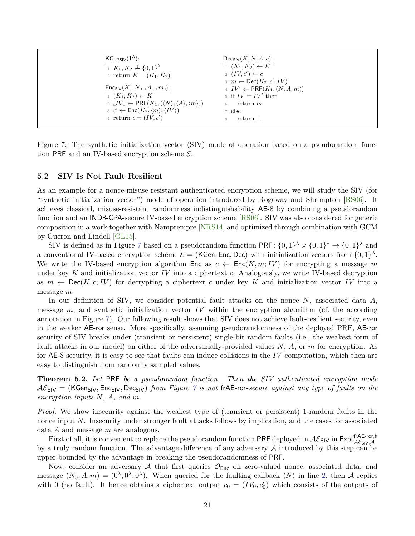<span id="page-20-3"></span><span id="page-20-1"></span>

| KGen <sub>SIV</sub> $(1^{\lambda})$ :                                                                           | $Dec_{SIV}(K, N, A, c):$                      |
|-----------------------------------------------------------------------------------------------------------------|-----------------------------------------------|
| $K_1, K_2 \xleftarrow{\$} \{0,1\}^{\lambda}$                                                                    | $1 (K_1, K_2) \leftarrow K$                   |
| 2 return $K = (K_1, K_2)$                                                                                       | 2 $(IV, c') \leftarrow c$                     |
|                                                                                                                 | $m \leftarrow \textsf{Dec}(K_2, c'; IV)$      |
| $\mathsf{Enc}_{\mathsf{SIV}}(K,\llcorner N\lrcorner,\llcorner A\lrcorner,\llcorner m\lrcorner)$ :               | 4 $IV' \leftarrow \text{PRF}(K_1, (N, A, m))$ |
| $1 (K_1, K_2) \leftarrow K$                                                                                     | 5 if $IV = IV'$ then                          |
| 2 $\downarrow IV \rightarrow \text{PRF}(K_1, \langle \langle N \rangle, \langle A \rangle, \langle m \rangle))$ | return $m$                                    |
| $s \ c' \leftarrow \mathsf{Enc}(K_2, \langle m \rangle; \langle IV \rangle)$                                    | 7 else                                        |
| 4 return $c = (IV, c')$                                                                                         | return $\perp$<br>8                           |

<span id="page-20-2"></span>Figure 7: The synthetic initialization vector (SIV) mode of operation based on a pseudorandom function PRF and an IV-based encryption scheme  $\mathcal{E}$ .

#### <span id="page-20-0"></span>**5.2 SIV Is Not Fault-Resilient**

As an example for a nonce-misuse resistant authenticated encryption scheme, we will study the SIV (for "synthetic initialization vector") mode of operation introduced by Rogaway and Shrimpton [\[RS06\]](#page-28-9). It achieves classical, misuse-resistant randomness indistinguishability AE-\$ by combining a pseudorandom function and an IND\$-CPA-secure IV-based encryption scheme [\[RS06\]](#page-28-9). SIV was also considered for generic composition in a work together with Namprempre [\[NRS14\]](#page-28-10) and optimized through combination with GCM by Gueron and Lindell [\[GL15\]](#page-27-11).

SIV is defined as in Figure [7](#page-20-1) based on a pseudorandom function PRF:  $\{0,1\}^{\lambda} \times \{0,1\}^* \to \{0,1\}^{\lambda}$  and a conventional IV-based encryption scheme  $\mathcal{E} = (KGen, Enc, Dec)$  with initialization vectors from  $\{0, 1\}^{\lambda}$ . We write the IV-based encryption algorithm Enc as  $c \leftarrow \text{Enc}(K, m; IV)$  for encrypting a message m under key *K* and initialization vector *IV* into a ciphertext *c*. Analogously, we write IV-based decryption as  $m \leftarrow \text{Dec}(K, c; IV)$  for decrypting a ciphertext *c* under key K and initialization vector IV into a message *m*.

In our definition of SIV, we consider potential fault attacks on the nonce *N*, associated data *A*, message *m*, and synthetic initialization vector *IV* within the encryption algorithm (cf. the according annotation in Figure [7\)](#page-20-1). Our following result shows that SIV does not achieve fault-resilient security, even in the weaker AE-ror sense. More specifically, assuming pseudorandomness of the deployed PRF, AE-ror security of SIV breaks under (transient or persistent) single-bit random faults (i.e., the weakest form of fault attacks in our model) on either of the adversarially-provided values *N*, *A*, or *m* for encryption. As for AE-\$ security, it is easy to see that faults can induce collisions in the *IV* computation, which then are easy to distinguish from randomly sampled values.

**Theorem 5.2.** *Let* PRF *be a pseudorandom function. Then the SIV authenticated encryption mode*  $AE_{SIV} = (KGeng<sub>IV</sub>, Enc<sub>SIV</sub>, Dec<sub>SIV</sub>)$  *from Figure*  $\gamma$  *is not* frAE-ror-secure against any type of faults on the *encryption inputs N, A, and m.*

*Proof.* We show insecurity against the weakest type of (transient or persistent) 1-random faults in the nonce input *N*. Insecurity under stronger fault attacks follows by implication, and the cases for associated data *A* and message *m* are analogous.

First of all, it is convenient to replace the pseudorandom function PRF deployed in  $\mathcal{AE}_{SIV}$  in  $\mathsf{Expt}^{\mathsf{f}_f\mathsf{AE}=\mathsf{ror},b}_{\mathcal{AE}_{SIV},\mathcal{A}}$ by a truly random function. The advantage difference of any adversary  $A$  introduced by this step can be upper bounded by the advantage in breaking the pseudorandomness of PRF.

Now, consider an adversary  $A$  that first queries  $\mathcal{O}_{\text{Enc}}$  on zero-valued nonce, associated data, and message  $(N_0, A, m) = (0^{\lambda}, 0^{\lambda}, 0^{\lambda})$ . When queried for the faulting callback  $\langle N \rangle$  in line [2,](#page-20-2) then A replies with 0 (no fault). It hence obtains a ciphertext output  $c_0 = (IV_0, c'_0)$  which consists of the outputs of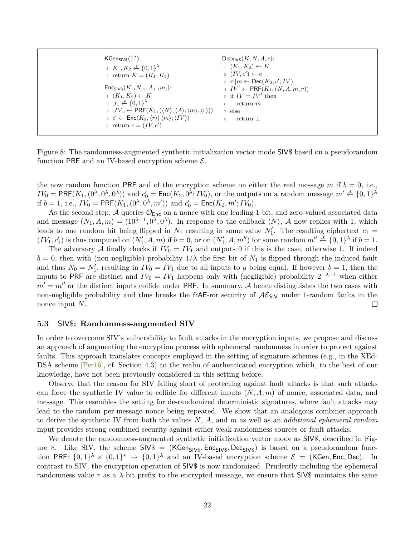<span id="page-21-4"></span><span id="page-21-1"></span>

| KGen <sub>SIV\$</sub> $(1^{\lambda})$ :                                                                                  | $Dec_{SIVS}(K, N, A, c):$                                                                               |
|--------------------------------------------------------------------------------------------------------------------------|---------------------------------------------------------------------------------------------------------|
| $K_1, K_2 \xleftarrow{\$} \{0,1\}^{\lambda}$                                                                             | $1 (K_1, K_2) \leftarrow K$                                                                             |
| 2 return $K = (K_1, K_2)$                                                                                                | 2 $(IV, c') \leftarrow c$                                                                               |
| $\mathsf{Enc}_{\mathsf{SIVS}}(K,\llcorner N\lrcorner,\llcorner A\lrcorner,\llcorner m\lrcorner)$ :                       | $\exists r    m \leftarrow \text{Dec}(K_2, c'; IV)$<br>4 $IV' \leftarrow \text{PRF}(K_1, (N, A, m, r))$ |
| $1 (K_1, K_2) \leftarrow K$                                                                                              | 5 if $IV = IV'$ then                                                                                    |
| 2 $r_1 \xleftarrow{\$} \{0,1\}^{\lambda}$                                                                                | return $m$<br>6                                                                                         |
| $\exists$ $IV \rightarrow \text{PRF}(K_1, (\langle N \rangle, \langle A \rangle, \langle m \rangle, \langle r \rangle))$ | 7 else                                                                                                  |
| $\alpha' \leftarrow \mathsf{Enc}(K_2, \langle r \rangle    \langle m \rangle; \langle IV \rangle)$                       | 8<br>return $\perp$                                                                                     |
| 5 return $c = (IV, c')$                                                                                                  |                                                                                                         |

<span id="page-21-3"></span><span id="page-21-2"></span>Figure 8: The randomness-augmented synthetic initialization vector mode SIV\$ based on a pseudorandom function PRF and an IV-based encryption scheme  $\mathcal{E}$ .

the now random function PRF and of the encryption scheme on either the real message  $m$  if  $b = 0$ , i.e.,  $IV_0 = \text{PRF}(K_1, (0^{\lambda}, 0^{\lambda}, 0^{\lambda}))$  and  $c'_0 = \text{Enc}(K_2, 0^{\lambda}; IV_0)$ , or the outputs on a random message  $m' \triangleq \{0, 1\}^{\lambda}$ if  $b = 1$ , i.e.,  $IV_0 = \text{PRF}(K_1, (0^{\lambda}, 0^{\lambda}, m'))$  and  $c'_0 = \text{Enc}(K_2, m'; IV_0)$ .

As the second step,  $A$  queries  $\mathcal{O}_{Enc}$  on a nonce with one leading 1-bit, and zero-valued associated data and message  $(N_1, A, m) = (10^{\lambda-1}, 0^{\lambda}, 0^{\lambda})$ . In response to the callback  $\langle N \rangle$ , A now replies with 1, which leads to one random bit being flipped in  $N_1$  resulting in some value  $N'_1$ . The resulting ciphertext  $c_1$  $(V_1, c'_1)$  is thus computed on  $(N'_1, A, m)$  if  $b = 0$ , or on  $(N'_1, A, m'')$  for some random  $m'' \stackrel{\$}{\leftarrow} \{0, 1\}^{\lambda}$  if  $b = 1$ .

The adversary A finally checks if  $IV_0 = IV_1$  and outputs 0 if this is the case, otherwise 1. If indeed  $b = 0$ , then with (non-negligible) probability  $1/\lambda$  the first bit of  $N_1$  is flipped through the induced fault and thus  $N_0 = N'_1$ , resulting in  $IV_0 = IV_1$  due to all inputs to *g* being equal. If however  $b = 1$ , then the inputs to PRF are distinct and  $IV_0 = IV_1$  happens only with (negligible) probability  $2^{-\lambda+1}$  when either  $m' = m''$  or the distinct inputs collide under PRF. In summary, A hence distinguishes the two cases with non-negligible probability and thus breaks the frAE-ror security of  $\mathcal{AE}_{SIV}$  under 1-random faults in the nonce input *N*. П

#### <span id="page-21-0"></span>**5.3** SIV\$**: Randomness-augmented SIV**

In order to overcome SIV's vulnerability to fault attacks in the encryption inputs, we propose and discuss an approach of augmenting the encryption process with ephemeral randomness in order to protect against faults. This approach translates concepts employed in the setting of signature schemes (e.g., in the XEd-DSA scheme [\[Per16\]](#page-28-5), cf. Section [4.3\)](#page-14-0) to the realm of authenticated encryption which, to the best of our knowledge, have not been previously considered in this setting before.

Observe that the reason for SIV falling short of protecting against fault attacks is that such attacks can force the synthetic IV value to collide for different inputs (*N, A, m*) of nonce, associated data, and message. This resembles the setting for de-randomized deterministic signatures, where fault attacks may lead to the random per-message nonce being repeated. We show that an analogous combiner approach to derive the synthetic IV from both the values *N*, *A*, and *m* as well as an *additional ephemeral random* input provides strong combined security against either weak randomness sources or fault attacks.

We denote the randomness-augmented synthetic initialization vector mode as  $SIV\$ \$, described in Fig-ure [8.](#page-21-1) Like SIV, the scheme  $SIV$ \$ = (KGen<sub>SIV\$</sub>, Enc<sub>SIV\$</sub>, Dec<sub>SIV\$</sub>) is based on a pseudorandom function PRF:  $\{0,1\}^{\lambda} \times \{0,1\}^* \to \{0,1\}^{\lambda}$  and an IV-based encryption scheme  $\mathcal{E} =$  (KGen, Enc, Dec). In contrast to SIV, the encryption operation of SIV\$ is now randomized. Prudently including the ephemeral randomness value r as a  $\lambda$ -bit prefix to the encrypted message, we ensure that SIV\$ maintains the same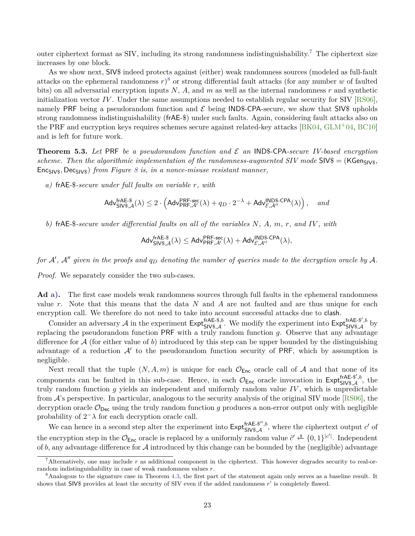<span id="page-22-4"></span>outer ciphertext format as SIV, including its strong randomness indistinguishability.<sup>[7](#page-22-0)</sup> The ciphertext size increases by one block.

As we show next,  $SIV\$  indeed protects against (either) weak randomness sources (modeled as full-fault attacks on the ephemeral randomness  $r$ <sup>[8](#page-22-1)</sup> or strong differential fault attacks (for any number *w* of faulted bits) on all adversarial encryption inputs *N*, *A*, and *m* as well as the internal randomness *r* and synthetic initialization vector *IV* . Under the same assumptions needed to establish regular security for SIV [\[RS06\]](#page-28-9), namely PRF being a pseudorandom function and  $\mathcal E$  being IND\$-CPA-secure, we show that SIV\$ upholds strong randomness indistinguishability (frAE-\$) under such faults. Again, considering fault attacks also on the PRF and encryption keys requires schemes secure against related-key attacks [\[BK04,](#page-25-7) [GLM](#page-27-8)+04, [BC10\]](#page-24-8) and is left for future work.

**Theorem 5.3.** *Let* PRF *be a pseudorandom function and* E *an* IND\$-CPA*-secure IV-based encryption scheme. Then the algorithmic implementation of the randomness-augmented SIV mode*  $\textsf{SIV\$} = (\textsf{KGens}_\textsf{IV\$},$ Enc<sub>SIV\$</sub>, Dec<sub>SIV\$</sub>) *from Figure [8](#page-21-1) is, in a nonce-misuse resistant manner,* 

<span id="page-22-2"></span>*a)* frAE-\$*-secure under full faults on variable r, with*

$$
\mathsf{Adv}_{\mathsf{SIV\$},\mathcal{A}}^{\mathsf{frAE-\$}}(\lambda) \leq 2\cdot\left(\mathsf{Adv}_{\mathsf{PRF},\mathcal{A}'}^{\mathsf{PRF-sec}}(\lambda) + q_D \cdot 2^{-\lambda} + \mathsf{Adv}_{\mathcal{E},\mathcal{A}''}^{\mathsf{IND\$-CPA}}(\lambda)\right), \quad \text{and}
$$

<span id="page-22-3"></span>*b)* frAE-\$*-secure under differential faults on all of the variables N, A, m, r, and IV , with*

$$
\mathsf{Adv}_{\mathsf{SIV\$},\mathcal{A}}^{\mathsf{frAE-\$}}(\lambda) \leq \mathsf{Adv}_{\mathsf{PRF},\mathcal{A}'}^{\mathsf{PRF}\text{-}\mathsf{sec}}(\lambda) + \mathsf{Adv}_{\mathcal{E},\mathcal{A}''}^{\mathsf{IND\$}\text{-}\mathsf{CPA}}(\lambda),
$$

for  $A'$ ,  $A''$  given in the proofs and  $q_D$  denoting the number of queries made to the decryption oracle by  $A$ .

*Proof.* We separately consider the two sub-cases.

**Ad [a\).](#page-22-2)** The first case models weak randomness sources through full faults in the ephemeral randomness value *r*. Note that this means that the data *N* and *A* are not faulted and are thus unique for each encryption call. We therefore do not need to take into account successful attacks due to clash.

Consider an adversary  $A$  in the experiment  $\text{Expt}_{S_1\vee S,\mathcal{A}}^{\text{frAE-},\$,\mathcal{b}}$ . We modify the experiment into  $\text{Expt}_{S_1\vee S,\mathcal{A}}^{\text{frAE-},\$',\mathcal{b}}$  $\sup_{\mathsf{SIV\$},\mathcal{A}}^{r_{\mathsf{A}}\mathsf{B}}$  by replacing the pseudorandom function PRF with a truly random function *g*. Observe that any advantage difference for A (for either value of *b*) introduced by this step can be upper bounded by the distinguishing advantage of a reduction  $A'$  to the pseudorandom function security of PRF, which by assumption is negligible.

Next recall that the tuple  $(N, A, m)$  is unique for each  $\mathcal{O}_{\text{Enc}}$  oracle call of A and that none of its components can be faulted in this sub-case. Hence, in each  $\mathcal{O}_{\text{Enc}}$  oracle invocation in  $\text{Expt}_{\text{SIV8.},A}^{\text{frAE-8'},b}$  $SIV\$ <sub>, A</sub><sup>o</sup>, the truly random function  $g$  yields an independent and uniformly random value  $IV$ , which is unpredictable from A's perspective. In particular, analogous to the security analysis of the original SIV mode [\[RS06\]](#page-28-9), the decryption oracle  $\mathcal{O}_{\text{Dec}}$  using the truly random function g produces a non-error output only with negligible probability of  $2-\lambda$  for each decryption oracle call.

We can hence in a second step alter the experiment into  $\textsf{Expt}_{\textsf{GIV}_s}^{\textsf{frAE-\$}'',b}$  $\mathsf{SINR}_{\mathsf{S},\mathcal{A}}^{\mathsf{frAE}\text{-}\mathsf{S}^{\prime\prime},b}$ , where the ciphertext output  $c'$  of the encryption step in the  $\mathcal{O}_{\mathsf{Enc}}$  oracle is replaced by a uniformly random value  $\tilde{c}' \xleftarrow{\$} \{0,1\}^{|c'|}$ . Independent of  $b$ , any advantage difference for  $A$  introduced by this change can be bounded by the (negligible) advantage

<span id="page-22-0"></span><sup>7</sup>Alternatively, one may include *r* as additional component in the ciphertext. This however degrades security to real-orrandom indistinguishability in case of weak randomness values *r*.

<span id="page-22-1"></span><sup>&</sup>lt;sup>8</sup>Analogous to the signature case in Theorem [4.3,](#page-16-2) the first part of the statement again only serves as a baseline result. It shows that SIV\$ provides at least the security of SIV even if the added randomness r' is completely flawed.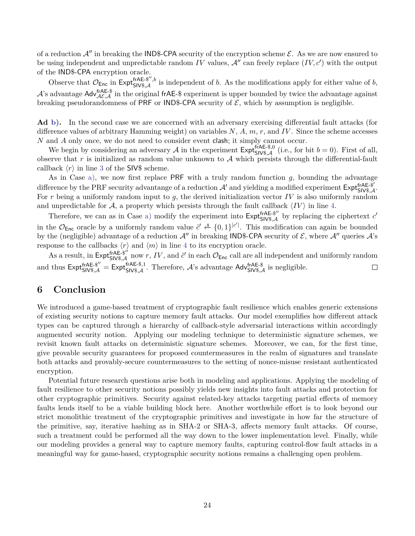of a reduction  $\mathcal{A}''$  in breaking the IND\$-CPA security of the encryption scheme  $\mathcal{E}$ . As we are now ensured to be using independent and unpredictable random *IV* values,  $\mathcal{A}''$  can freely replace  $(IV, c')$  with the output of the IND\$-CPA encryption oracle.

Observe that  $\mathcal{O}_{\mathsf{Enc}}$  in  $\mathsf{Expt}^{\mathsf{frAE}\text{-}\$'', b}_{\mathsf{SIV\$}.\mathcal{A}}$  $\mathsf{SINB}_{\mathsf{S},\mathcal{A}}^{HAE-3}$ ,  $\mathsf{A}^b$  is independent of *b*. As the modifications apply for either value of *b*,  $A$ 's advantage Adv ${}^{frAE-\$}_{A\mathcal{E},\mathcal{A}}$  in the original frAE-\$ experiment is upper bounded by twice the advantage against breaking pseudorandomness of PRF or IND\$-CPA security of  $\mathcal{E}$ , which by assumption is negligible.

**Ad [b\).](#page-22-3)** In the second case we are concerned with an adversary exercising differential fault attacks (for difference values of arbitrary Hamming weight) on variables *N*, *A*, *m*, *r*, and *IV* . Since the scheme accesses *N* and *A* only once, we do not need to consider event clash; it simply cannot occur.

We begin by considering an adversary A in the experiment  $\text{Exptf}_{\text{SIV},\mathcal{A}}^{\text{f} \hat{\text{r}} \hat{\text{A}} \text{E}=\text{\$},0}$  (i.e., for bit  $b=0$ ). First of all, observe that  $r$  is initialized as random value unknown to  $A$  which persists through the differential-fault callback  $\langle r \rangle$  in line [3](#page-21-2) of the SIV\$ scheme.

As in Case [a\),](#page-22-2) we now first replace PRF with a truly random function *g*, bounding the advantage difference by the PRF security advantange of a reduction  $\mathcal{A}'$  and yielding a modified experiment Expt  $\frac{\text{f}_r A E - \bar{\text{s}}^2}{\text{s}_1 A E - \text{s}_2 A E}$ SIV\$*,*A . For *r* being a uniformly random input to *g*, the derived initialization vector *IV* is also uniformly random and unpredictable for  $\mathcal{A}$ , a property which persists through the fault callback  $\langle IV \rangle$  in line [4.](#page-21-3)

Therefore, we can as in Case [a\)](#page-22-2) modify the experiment into  $\text{Expt}_{\text{SIV},8}^{\text{f}_4 \text{A E-S}''}$  $\frac{f_rAE-S''}{SIVs,\mathcal{A}}$  by replacing the ciphertext *c*<sup>*i*</sup> in the  $\mathcal{O}_{\mathsf{Enc}}$  oracle by a uniformly random value  $\tilde{c}' \stackrel{\hspace{0.1em}\mathsf{\scriptscriptstyle\$}}{\leftarrow} \{0,1\}^{|c'|}.$  This modification can again be bounded by the (negligible) advantage of a reduction  $\mathcal{A}''$  in breaking IND\$-CPA security of  $\mathcal{E}$ , where  $\mathcal{A}''$  queries  $\mathcal{A}$ 's response to the callbacks  $\langle r \rangle$  and  $\langle m \rangle$  in line [4](#page-21-3) to its encryption oracle.

As a result, in  $\mathsf{Expt}^{\mathsf{frAE}\text{-}\$''}_{\mathsf{SIN\$}^A}$ fraces<sup>"</sup> now *r*, *IV*, and  $\tilde{c}'$  in each  $\mathcal{O}_{\mathsf{Enc}}$  call are all independent and uniformly random and thus  $\text{Expt}_{\text{SIV\$},\mathcal{A}}^{\text{frAE-\$}\prime} = \text{Expt}_{\text{SIV\$},\mathcal{A}}^{\text{frAE-\$},1}$ . Therefore,  $\mathcal{A}$ 's advantage  $\text{Adv}_{\text{SIV\$},\mathcal{A}}^{\text{frAE-\$}}$  is negligible.

## <span id="page-23-0"></span>**6 Conclusion**

We introduced a game-based treatment of cryptographic fault resilience which enables generic extensions of existing security notions to capture memory fault attacks. Our model exemplifies how different attack types can be captured through a hierarchy of callback-style adversarial interactions within accordingly augmented security notion. Applying our modeling technique to deterministic signature schemes, we revisit known fault attacks on deterministic signature schemes. Moreover, we can, for the first time, give provable security guarantees for proposed countermeasures in the realm of signatures and translate both attacks and provably-secure countermeasures to the setting of nonce-misuse resistant authenticated encryption.

Potential future research questions arise both in modeling and applications. Applying the modeling of fault resilience to other security notions possibly yields new insights into fault attacks and protection for other cryptographic primitives. Security against related-key attacks targeting partial effects of memory faults lends itself to be a viable building block here. Another worthwhile effort is to look beyond our strict monolithic treatment of the cryptographic primitives and investigate in how far the structure of the primitive, say, iterative hashing as in SHA-2 or SHA-3, affects memory fault attacks. Of course, such a treatment could be performed all the way down to the lower implementation level. Finally, while our modeling provides a general way to capture memory faults, capturing control-flow fault attacks in a meaningful way for game-based, cryptographic security notions remains a challenging open problem.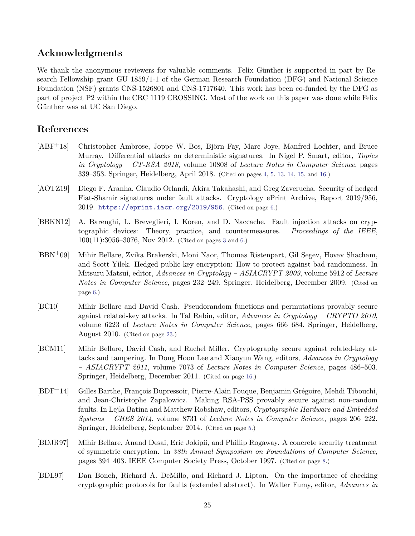## **Acknowledgments**

We thank the anonymous reviewers for valuable comments. Felix Günther is supported in part by Research Fellowship grant GU 1859/1-1 of the German Research Foundation (DFG) and National Science Foundation (NSF) grants CNS-1526801 and CNS-1717640. This work has been co-funded by the DFG as part of project P2 within the CRC 1119 CROSSING. Most of the work on this paper was done while Felix Günther was at UC San Diego.

# **References**

- <span id="page-24-2"></span>[ABF+18] Christopher Ambrose, Joppe W. Bos, Björn Fay, Marc Joye, Manfred Lochter, and Bruce Murray. Differential attacks on deterministic signatures. In Nigel P. Smart, editor, *Topics in Cryptology – CT-RSA 2018*, volume 10808 of *Lecture Notes in Computer Science*, pages 339–353. Springer, Heidelberg, April 2018. (Cited on pages [4,](#page-3-3) [5,](#page-4-1) [13,](#page-12-2) [14,](#page-13-8) [15,](#page-14-1) and [16.](#page-15-4))
- <span id="page-24-5"></span>[AOTZ19] Diego F. Aranha, Claudio Orlandi, Akira Takahashi, and Greg Zaverucha. Security of hedged Fiat-Shamir signatures under fault attacks. Cryptology ePrint Archive, Report 2019/956, 2019. <https://eprint.iacr.org/2019/956>. (Cited on page [6.](#page-5-2))
- <span id="page-24-1"></span>[BBKN12] A. Barenghi, L. Breveglieri, I. Koren, and D. Naccache. Fault injection attacks on cryptographic devices: Theory, practice, and countermeasures. *Proceedings of the IEEE*, 100(11):3056–3076, Nov 2012. (Cited on pages [3](#page-2-1) and [6.](#page-5-2))
- <span id="page-24-4"></span>[BBN+09] Mihir Bellare, Zvika Brakerski, Moni Naor, Thomas Ristenpart, Gil Segev, Hovav Shacham, and Scott Yilek. Hedged public-key encryption: How to protect against bad randomness. In Mitsuru Matsui, editor, *Advances in Cryptology – ASIACRYPT 2009*, volume 5912 of *Lecture Notes in Computer Science*, pages 232–249. Springer, Heidelberg, December 2009. (Cited on page [6.](#page-5-2))
- <span id="page-24-8"></span>[BC10] Mihir Bellare and David Cash. Pseudorandom functions and permutations provably secure against related-key attacks. In Tal Rabin, editor, *Advances in Cryptology – CRYPTO 2010*, volume 6223 of *Lecture Notes in Computer Science*, pages 666–684. Springer, Heidelberg, August 2010. (Cited on page [23.](#page-22-4))
- <span id="page-24-7"></span>[BCM11] Mihir Bellare, David Cash, and Rachel Miller. Cryptography secure against related-key attacks and tampering. In Dong Hoon Lee and Xiaoyun Wang, editors, *Advances in Cryptology – ASIACRYPT 2011*, volume 7073 of *Lecture Notes in Computer Science*, pages 486–503. Springer, Heidelberg, December 2011. (Cited on page [16.](#page-15-4))
- <span id="page-24-3"></span>[BDF+14] Gilles Barthe, François Dupressoir, Pierre-Alain Fouque, Benjamin Grégoire, Mehdi Tibouchi, and Jean-Christophe Zapalowicz. Making RSA-PSS provably secure against non-random faults. In Lejla Batina and Matthew Robshaw, editors, *Cryptographic Hardware and Embedded Systems – CHES 2014*, volume 8731 of *Lecture Notes in Computer Science*, pages 206–222. Springer, Heidelberg, September 2014. (Cited on page [5.](#page-4-1))
- <span id="page-24-6"></span>[BDJR97] Mihir Bellare, Anand Desai, Eric Jokipii, and Phillip Rogaway. A concrete security treatment of symmetric encryption. In *38th Annual Symposium on Foundations of Computer Science*, pages 394–403. IEEE Computer Society Press, October 1997. (Cited on page [8.](#page-7-3))
- <span id="page-24-0"></span>[BDL97] Dan Boneh, Richard A. DeMillo, and Richard J. Lipton. On the importance of checking cryptographic protocols for faults (extended abstract). In Walter Fumy, editor, *Advances in*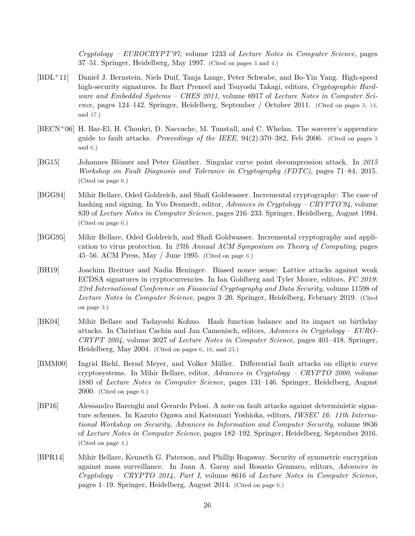*Cryptology – EUROCRYPT'97*, volume 1233 of *Lecture Notes in Computer Science*, pages 37–51. Springer, Heidelberg, May 1997. (Cited on pages [3](#page-2-1) and [4.](#page-3-3))

- <span id="page-25-2"></span>[BDL+11] Daniel J. Bernstein, Niels Duif, Tanja Lange, Peter Schwabe, and Bo-Yin Yang. High-speed high-security signatures. In Bart Preneel and Tsuyoshi Takagi, editors, *Cryptographic Hardware and Embedded Systems – CHES 2011*, volume 6917 of *Lecture Notes in Computer Science*, pages 124–142. Springer, Heidelberg, September / October 2011. (Cited on pages [3,](#page-2-1) [14,](#page-13-8) and [17.](#page-16-3))
- <span id="page-25-0"></span>[BECN+06] H. Bar-El, H. Choukri, D. Naccache, M. Tunstall, and C. Whelan. The sorcerer's apprentice guide to fault attacks. *Proceedings of the IEEE*, 94(2):370–382, Feb 2006. (Cited on pages [3](#page-2-1) and [6.](#page-5-2))
- <span id="page-25-5"></span>[BG15] Johannes Blömer and Peter Günther. Singular curve point decompression attack. In *2015 Workshop on Fault Diagnosis and Tolerance in Cryptography (FDTC)*, pages 71–84, 2015. (Cited on page [6.](#page-5-2))
- <span id="page-25-8"></span>[BGG94] Mihir Bellare, Oded Goldreich, and Shafi Goldwasser. Incremental cryptography: The case of hashing and signing. In Yvo Desmedt, editor, *Advances in Cryptology – CRYPTO'94*, volume 839 of *Lecture Notes in Computer Science*, pages 216–233. Springer, Heidelberg, August 1994. (Cited on page [6.](#page-5-2))
- <span id="page-25-9"></span>[BGG95] Mihir Bellare, Oded Goldreich, and Shafi Goldwasser. Incremental cryptography and application to virus protection. In *27th Annual ACM Symposium on Theory of Computing*, pages 45–56. ACM Press, May / June 1995. (Cited on page [6.](#page-5-2))
- <span id="page-25-1"></span>[BH19] Joachim Breitner and Nadia Heninger. Biased nonce sense: Lattice attacks against weak ECDSA signatures in cryptocurrencies. In Ian Goldberg and Tyler Moore, editors, *FC 2019: 23rd International Conference on Financial Cryptography and Data Security*, volume 11598 of *Lecture Notes in Computer Science*, pages 3–20. Springer, Heidelberg, February 2019. (Cited on page [3.](#page-2-1))
- <span id="page-25-7"></span>[BK04] Mihir Bellare and Tadayoshi Kohno. Hash function balance and its impact on birthday attacks. In Christian Cachin and Jan Camenisch, editors, *Advances in Cryptology – EURO-CRYPT 2004*, volume 3027 of *Lecture Notes in Computer Science*, pages 401–418. Springer, Heidelberg, May 2004. (Cited on pages [6,](#page-5-2) [16,](#page-15-4) and [23.](#page-22-4))
- <span id="page-25-4"></span>[BMM00] Ingrid Biehl, Bernd Meyer, and Volker Müller. Differential fault attacks on elliptic curve cryptosystems. In Mihir Bellare, editor, *Advances in Cryptology – CRYPTO 2000*, volume 1880 of *Lecture Notes in Computer Science*, pages 131–146. Springer, Heidelberg, August 2000. (Cited on page [6.](#page-5-2))
- <span id="page-25-3"></span>[BP16] Alessandro Barenghi and Gerardo Pelosi. A note on fault attacks against deterministic signature schemes. In Kazuto Ogawa and Katsunari Yoshioka, editors, *IWSEC 16: 11th International Workshop on Security, Advances in Information and Computer Security*, volume 9836 of *Lecture Notes in Computer Science*, pages 182–192. Springer, Heidelberg, September 2016. (Cited on page [4.](#page-3-3))
- <span id="page-25-6"></span>[BPR14] Mihir Bellare, Kenneth G. Paterson, and Phillip Rogaway. Security of symmetric encryption against mass surveillance. In Juan A. Garay and Rosario Gennaro, editors, *Advances in Cryptology – CRYPTO 2014, Part I*, volume 8616 of *Lecture Notes in Computer Science*, pages 1–19. Springer, Heidelberg, August 2014. (Cited on page [6.](#page-5-2))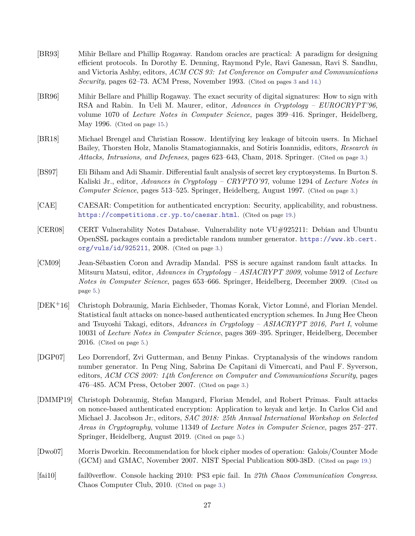- <span id="page-26-5"></span>[BR93] Mihir Bellare and Phillip Rogaway. Random oracles are practical: A paradigm for designing efficient protocols. In Dorothy E. Denning, Raymond Pyle, Ravi Ganesan, Ravi S. Sandhu, and Victoria Ashby, editors, *ACM CCS 93: 1st Conference on Computer and Communications Security*, pages 62–73. ACM Press, November 1993. (Cited on pages [3](#page-2-1) and [14.](#page-13-8))
- <span id="page-26-9"></span>[BR96] Mihir Bellare and Phillip Rogaway. The exact security of digital signatures: How to sign with RSA and Rabin. In Ueli M. Maurer, editor, *Advances in Cryptology – EUROCRYPT'96*, volume 1070 of *Lecture Notes in Computer Science*, pages 399–416. Springer, Heidelberg, May 1996. (Cited on page [15.](#page-14-1))
- <span id="page-26-4"></span>[BR18] Michael Brengel and Christian Rossow. Identifying key leakage of bitcoin users. In Michael Bailey, Thorsten Holz, Manolis Stamatogiannakis, and Sotiris Ioannidis, editors, *Research in Attacks, Intrusions, and Defenses*, pages 623–643, Cham, 2018. Springer. (Cited on page [3.](#page-2-1))
- <span id="page-26-0"></span>[BS97] Eli Biham and Adi Shamir. Differential fault analysis of secret key cryptosystems. In Burton S. Kaliski Jr., editor, *Advances in Cryptology – CRYPTO'97*, volume 1294 of *Lecture Notes in Computer Science*, pages 513–525. Springer, Heidelberg, August 1997. (Cited on page [3.](#page-2-1))
- <span id="page-26-11"></span>[CAE] CAESAR: Competition for authenticated encryption: Security, applicability, and robustness. <https://competitions.cr.yp.to/caesar.html>. (Cited on page [19.](#page-18-4))
- <span id="page-26-2"></span>[CER08] CERT Vulnerability Notes Database. Vulnerability note VU#925211: Debian and Ubuntu OpenSSL packages contain a predictable random number generator. [https://www.kb.cert.](https://www.kb.cert.org/vuls/id/925211) [org/vuls/id/925211](https://www.kb.cert.org/vuls/id/925211), 2008. (Cited on page [3.](#page-2-1))
- <span id="page-26-8"></span>[CM09] Jean-Sébastien Coron and Avradip Mandal. PSS is secure against random fault attacks. In Mitsuru Matsui, editor, *Advances in Cryptology – ASIACRYPT 2009*, volume 5912 of *Lecture Notes in Computer Science*, pages 653–666. Springer, Heidelberg, December 2009. (Cited on page [5.](#page-4-1))
- <span id="page-26-6"></span>[DEK+16] Christoph Dobraunig, Maria Eichlseder, Thomas Korak, Victor Lomné, and Florian Mendel. Statistical fault attacks on nonce-based authenticated encryption schemes. In Jung Hee Cheon and Tsuyoshi Takagi, editors, *Advances in Cryptology – ASIACRYPT 2016, Part I*, volume 10031 of *Lecture Notes in Computer Science*, pages 369–395. Springer, Heidelberg, December 2016. (Cited on page [5.](#page-4-1))
- <span id="page-26-1"></span>[DGP07] Leo Dorrendorf, Zvi Gutterman, and Benny Pinkas. Cryptanalysis of the windows random number generator. In Peng Ning, Sabrina De Capitani di Vimercati, and Paul F. Syverson, editors, *ACM CCS 2007: 14th Conference on Computer and Communications Security*, pages 476–485. ACM Press, October 2007. (Cited on page [3.](#page-2-1))
- <span id="page-26-7"></span>[DMMP19] Christoph Dobraunig, Stefan Mangard, Florian Mendel, and Robert Primas. Fault attacks on nonce-based authenticated encryption: Application to keyak and ketje. In Carlos Cid and Michael J. Jacobson Jr:, editors, *SAC 2018: 25th Annual International Workshop on Selected Areas in Cryptography*, volume 11349 of *Lecture Notes in Computer Science*, pages 257–277. Springer, Heidelberg, August 2019. (Cited on page [5.](#page-4-1))
- <span id="page-26-10"></span>[Dwo07] Morris Dworkin. Recommendation for block cipher modes of operation: Galois/Counter Mode (GCM) and GMAC, November 2007. NIST Special Publication 800-38D. (Cited on page [19.](#page-18-4))
- <span id="page-26-3"></span>[fai10] fail0verflow. Console hacking 2010: PS3 epic fail. In *27th Chaos Communication Congress*. Chaos Computer Club, 2010. (Cited on page [3.](#page-2-1))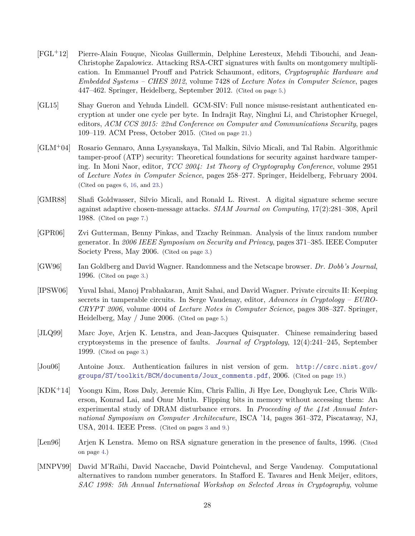- <span id="page-27-7"></span>[FGL+12] Pierre-Alain Fouque, Nicolas Guillermin, Delphine Leresteux, Mehdi Tibouchi, and Jean-Christophe Zapalowicz. Attacking RSA-CRT signatures with faults on montgomery multiplication. In Emmanuel Prouff and Patrick Schaumont, editors, *Cryptographic Hardware and Embedded Systems – CHES 2012*, volume 7428 of *Lecture Notes in Computer Science*, pages 447–462. Springer, Heidelberg, September 2012. (Cited on page [5.](#page-4-1))
- <span id="page-27-11"></span>[GL15] Shay Gueron and Yehuda Lindell. GCM-SIV: Full nonce misuse-resistant authenticated encryption at under one cycle per byte. In Indrajit Ray, Ninghui Li, and Christopher Kruegel, editors, *ACM CCS 2015: 22nd Conference on Computer and Communications Security*, pages 109–119. ACM Press, October 2015. (Cited on page [21.](#page-20-3))
- <span id="page-27-8"></span>[GLM+04] Rosario Gennaro, Anna Lysyanskaya, Tal Malkin, Silvio Micali, and Tal Rabin. Algorithmic tamper-proof (ATP) security: Theoretical foundations for security against hardware tampering. In Moni Naor, editor, *TCC 2004: 1st Theory of Cryptography Conference*, volume 2951 of *Lecture Notes in Computer Science*, pages 258–277. Springer, Heidelberg, February 2004. (Cited on pages [6,](#page-5-2) [16,](#page-15-4) and [23.](#page-22-4))
- <span id="page-27-9"></span>[GMR88] Shafi Goldwasser, Silvio Micali, and Ronald L. Rivest. A digital signature scheme secure against adaptive chosen-message attacks. *SIAM Journal on Computing*, 17(2):281–308, April 1988. (Cited on page [7.](#page-6-4))
- <span id="page-27-3"></span>[GPR06] Zvi Gutterman, Benny Pinkas, and Tzachy Reinman. Analysis of the linux random number generator. In *2006 IEEE Symposium on Security and Privacy*, pages 371–385. IEEE Computer Society Press, May 2006. (Cited on page [3.](#page-2-1))
- <span id="page-27-2"></span>[GW96] Ian Goldberg and David Wagner. Randomness and the Netscape browser. *Dr. Dobb's Journal*, 1996. (Cited on page [3.](#page-2-1))
- <span id="page-27-6"></span>[IPSW06] Yuval Ishai, Manoj Prabhakaran, Amit Sahai, and David Wagner. Private circuits II: Keeping secrets in tamperable circuits. In Serge Vaudenay, editor, *Advances in Cryptology – EURO-CRYPT 2006*, volume 4004 of *Lecture Notes in Computer Science*, pages 308–327. Springer, Heidelberg, May / June 2006. (Cited on page [5.](#page-4-1))
- <span id="page-27-0"></span>[JLQ99] Marc Joye, Arjen K. Lenstra, and Jean-Jacques Quisquater. Chinese remaindering based cryptosystems in the presence of faults. *Journal of Cryptology*, 12(4):241–245, September 1999. (Cited on page [3.](#page-2-1))
- <span id="page-27-10"></span>[Jou06] Antoine Joux. Authentication failures in nist version of gcm. [http://csrc.nist.gov/](http://csrc.nist.gov/groups/ST/toolkit/BCM/documents/Joux_comments.pdf) [groups/ST/toolkit/BCM/documents/Joux\\_comments.pdf](http://csrc.nist.gov/groups/ST/toolkit/BCM/documents/Joux_comments.pdf), 2006. (Cited on page [19.](#page-18-4))
- <span id="page-27-1"></span>[KDK+14] Yoongu Kim, Ross Daly, Jeremie Kim, Chris Fallin, Ji Hye Lee, Donghyuk Lee, Chris Wilkerson, Konrad Lai, and Onur Mutlu. Flipping bits in memory without accessing them: An experimental study of DRAM disturbance errors. In *Proceeding of the 41st Annual International Symposium on Computer Architecuture*, ISCA '14, pages 361–372, Piscataway, NJ, USA, 2014. IEEE Press. (Cited on pages [3](#page-2-1) and [9.](#page-8-1))
- <span id="page-27-5"></span>[Len96] Arjen K Lenstra. Memo on RSA signature generation in the presence of faults, 1996. (Cited on page [4.](#page-3-3))
- <span id="page-27-4"></span>[MNPV99] David M'Raïhi, David Naccache, David Pointcheval, and Serge Vaudenay. Computational alternatives to random number generators. In Stafford E. Tavares and Henk Meijer, editors, *SAC 1998: 5th Annual International Workshop on Selected Areas in Cryptography*, volume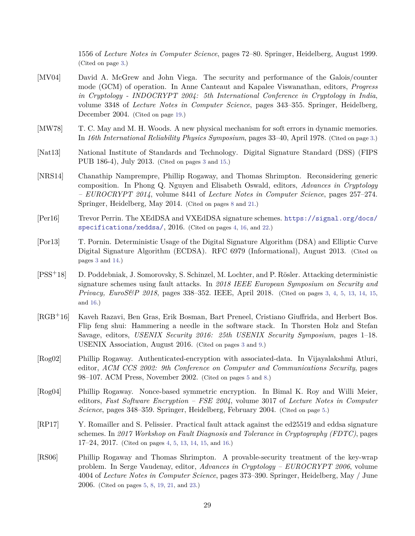1556 of *Lecture Notes in Computer Science*, pages 72–80. Springer, Heidelberg, August 1999. (Cited on page [3.](#page-2-1))

- <span id="page-28-11"></span>[MV04] David A. McGrew and John Viega. The security and performance of the Galois/counter mode (GCM) of operation. In Anne Canteaut and Kapalee Viswanathan, editors, *Progress in Cryptology - INDOCRYPT 2004: 5th International Conference in Cryptology in India*, volume 3348 of *Lecture Notes in Computer Science*, pages 343–355. Springer, Heidelberg, December 2004. (Cited on page [19.](#page-18-4))
- <span id="page-28-0"></span>[MW78] T. C. May and M. H. Woods. A new physical mechanism for soft errors in dynamic memories. In *16th International Reliability Physics Symposium*, pages 33–40, April 1978. (Cited on page [3.](#page-2-1))
- <span id="page-28-3"></span>[Nat13] National Institute of Standards and Technology. Digital Signature Standard (DSS) (FIPS PUB 186-4), July 2013. (Cited on pages [3](#page-2-1) and [15.](#page-14-1))
- <span id="page-28-10"></span>[NRS14] Chanathip Namprempre, Phillip Rogaway, and Thomas Shrimpton. Reconsidering generic composition. In Phong Q. Nguyen and Elisabeth Oswald, editors, *Advances in Cryptology – EUROCRYPT 2014*, volume 8441 of *Lecture Notes in Computer Science*, pages 257–274. Springer, Heidelberg, May 2014. (Cited on pages [8](#page-7-3) and [21.](#page-20-3))
- <span id="page-28-5"></span>[Per16] Trevor Perrin. The XEdDSA and VXEdDSA signature schemes. [https://signal.org/docs/](https://signal.org/docs/specifications/xeddsa/) [specifications/xeddsa/](https://signal.org/docs/specifications/xeddsa/), 2016. (Cited on pages [4,](#page-3-3) [16,](#page-15-4) and [22.](#page-21-4))
- <span id="page-28-4"></span>[Por13] T. Pornin. Deterministic Usage of the Digital Signature Algorithm (DSA) and Elliptic Curve Digital Signature Algorithm (ECDSA). RFC 6979 (Informational), August 2013. (Cited on pages [3](#page-2-1) and [14.](#page-13-8))
- <span id="page-28-2"></span>[PSS+18] D. Poddebniak, J. Somorovsky, S. Schinzel, M. Lochter, and P. Rösler. Attacking deterministic signature schemes using fault attacks. In *2018 IEEE European Symposium on Security and Privacy, EuroS&P 2018*, pages 338–352. IEEE, April 2018. (Cited on pages [3,](#page-2-1) [4,](#page-3-3) [5,](#page-4-1) [13,](#page-12-2) [14,](#page-13-8) [15,](#page-14-1) and [16.](#page-15-4))
- <span id="page-28-1"></span>[RGB+16] Kaveh Razavi, Ben Gras, Erik Bosman, Bart Preneel, Cristiano Giuffrida, and Herbert Bos. Flip feng shui: Hammering a needle in the software stack. In Thorsten Holz and Stefan Savage, editors, *USENIX Security 2016: 25th USENIX Security Symposium*, pages 1–18. USENIX Association, August 2016. (Cited on pages [3](#page-2-1) and [9.](#page-8-1))
- <span id="page-28-7"></span>[Rog02] Phillip Rogaway. Authenticated-encryption with associated-data. In Vijayalakshmi Atluri, editor, *ACM CCS 2002: 9th Conference on Computer and Communications Security*, pages 98–107. ACM Press, November 2002. (Cited on pages [5](#page-4-1) and [8.](#page-7-3))
- <span id="page-28-8"></span>[Rog04] Phillip Rogaway. Nonce-based symmetric encryption. In Bimal K. Roy and Willi Meier, editors, *Fast Software Encryption – FSE 2004*, volume 3017 of *Lecture Notes in Computer Science*, pages 348–359. Springer, Heidelberg, February 2004. (Cited on page [5.](#page-4-1))
- <span id="page-28-6"></span>[RP17] Y. Romailler and S. Pelissier. Practical fault attack against the ed25519 and eddsa signature schemes. In *2017 Workshop on Fault Diagnosis and Tolerance in Cryptography (FDTC)*, pages 17–24, 2017. (Cited on pages [4,](#page-3-3) [5,](#page-4-1) [13,](#page-12-2) [14,](#page-13-8) [15,](#page-14-1) and [16.](#page-15-4))
- <span id="page-28-9"></span>[RS06] Phillip Rogaway and Thomas Shrimpton. A provable-security treatment of the key-wrap problem. In Serge Vaudenay, editor, *Advances in Cryptology – EUROCRYPT 2006*, volume 4004 of *Lecture Notes in Computer Science*, pages 373–390. Springer, Heidelberg, May / June 2006. (Cited on pages [5,](#page-4-1) [8,](#page-7-3) [19,](#page-18-4) [21,](#page-20-3) and [23.](#page-22-4))